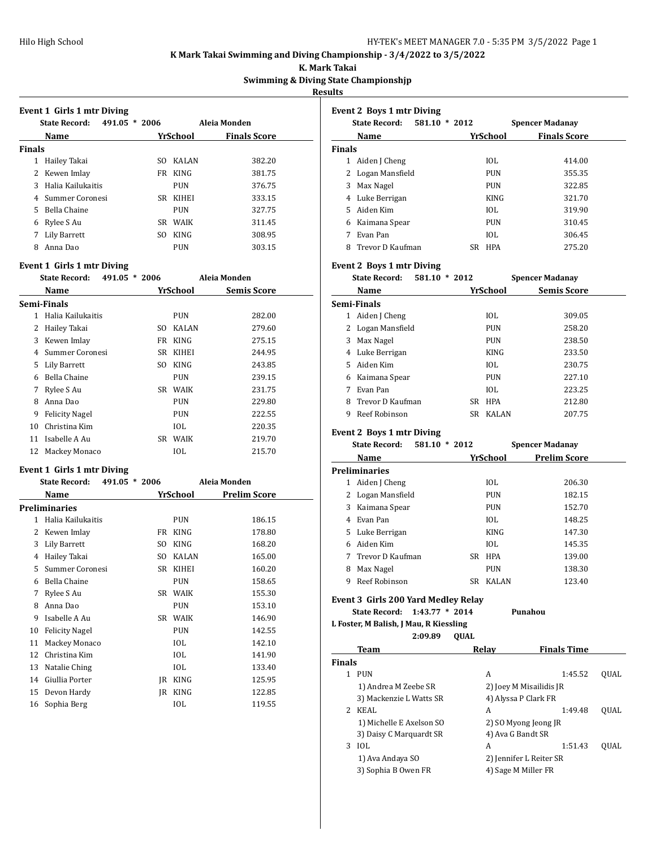**K. Mark Takai**

**Swimming & Diving State Championshjp**

**Results**

|               | Event 1 Girls 1 mtr Diving<br><b>State Record:</b> | 491.05 * 2006 |            | Aleia Monden        |
|---------------|----------------------------------------------------|---------------|------------|---------------------|
|               |                                                    |               |            |                     |
|               | Name                                               |               | YrSchool   | <b>Finals Score</b> |
| <b>Finals</b> |                                                    |               |            |                     |
|               | 1 Hailey Takai                                     |               | SO KALAN   | 382.20              |
|               | 2 Kewen Imlay                                      |               | FR KING    | 381.75              |
|               | 3 Halia Kailukaitis                                |               | <b>PUN</b> | 376.75              |
|               | 4 Summer Coronesi                                  |               | SR KIHEI   | 333.15              |
|               | 5 Bella Chaine                                     |               | <b>PUN</b> | 327.75              |
|               | 6 Rylee S Au                                       |               | SR WAIK    | 311.45              |
|               | 7 Lily Barrett                                     |               | SO KING    | 308.95              |
|               | 8 Anna Dao                                         |               | <b>PUN</b> | 303.15              |
|               | Event 1 Girls 1 mtr Diving                         |               |            |                     |
|               | <b>State Record:</b>                               | 491.05 * 2006 |            | Aleia Monden        |
|               | Name                                               |               | YrSchool   | <b>Semis Score</b>  |
|               | Semi-Finals                                        |               |            |                     |
|               | 1 Halia Kailukaitis                                |               | <b>PUN</b> | 282.00              |
|               | 2 Hailey Takai                                     |               | SO KALAN   | 279.60              |
|               | 3 Kewen Imlay                                      |               | FR KING    | 275.15              |
|               | 4 Summer Coronesi                                  |               | SR KIHEI   | 244.95              |
|               | 5 Lily Barrett                                     |               | SO KING    | 243.85              |
|               | 6 Bella Chaine                                     |               | <b>PUN</b> | 239.15              |
|               | 7 Rylee S Au                                       |               | SR WAIK    | 231.75              |
|               | 8 Anna Dao                                         |               | <b>PUN</b> | 229.80              |
|               | 9 Felicity Nagel                                   |               | <b>PUN</b> | 222.55              |
|               | 10 Christina Kim                                   |               | <b>IOL</b> | 220.35              |
|               | 11 Isabelle A Au                                   |               | SR WAIK    | 219.70              |
| 12            | Mackey Monaco                                      |               | IOL        | 215.70              |
|               | Event 1 Girls 1 mtr Diving                         |               |            |                     |
|               | <b>State Record:</b>                               | 491.05 * 2006 |            | Aleia Monden        |
|               | Name                                               |               | YrSchool   | <b>Prelim Score</b> |
|               | <b>Preliminaries</b>                               |               |            |                     |
| $\mathbf{1}$  | Halia Kailukaitis                                  |               | PUN        | 186.15              |
|               | 2 Kewen Imlay                                      |               | FR KING    | 178.80              |
|               | 3 Lily Barrett                                     | SO            | KING       | 168.20              |
|               | 4 Hailey Takai                                     | SO            | KALAN      | 165.00              |
| 5             | Summer Coronesi                                    | SR            | KIHEI      | 160.20              |
| 6             | <b>Bella Chaine</b>                                |               | PUN        | 158.65              |
| 7             | Rylee S Au                                         | SR            | WAIK       | 155.30              |
| 8             | Anna Dao                                           |               | PUN        | 153.10              |
| 9             | Isabelle A Au                                      | SR            | WAIK       | 146.90              |
| 10            | <b>Felicity Nagel</b>                              |               | PUN        | 142.55              |
| 11            | Mackey Monaco                                      |               | IOL        | 142.10              |

12 Christina Kim IOL 141.90 13 Natalie Ching IOL 133.40 14 Giullia Porter JR KING 125.95 15 Devon Hardy JR KING 122.85 16 Sophia Berg 10L 119.55

|               | <b>Event 2 Boys 1 mtr Diving</b>           |             |             |                                                |      |
|---------------|--------------------------------------------|-------------|-------------|------------------------------------------------|------|
|               | <b>State Record:</b><br>581.10 * 2012      |             |             | <b>Spencer Madanay</b>                         |      |
|               | Name                                       |             | YrSchool    | <b>Finals Score</b>                            |      |
| <b>Finals</b> |                                            |             |             |                                                |      |
|               | 1 Aiden J Cheng                            |             | IOL         | 414.00                                         |      |
|               | 2 Logan Mansfield                          |             | <b>PUN</b>  | 355.35                                         |      |
|               | 3 Max Nagel                                |             | <b>PUN</b>  | 322.85                                         |      |
|               | 4 Luke Berrigan                            |             | <b>KING</b> | 321.70                                         |      |
|               | 5 Aiden Kim                                |             | IOL         | 319.90                                         |      |
|               | 6 Kaimana Spear                            |             | PUN         | 310.45                                         |      |
|               | 7 Evan Pan                                 |             | IOL         | 306.45                                         |      |
|               | 8 Trevor D Kaufman                         |             | SR HPA      | 275.20                                         |      |
|               | <b>Event 2 Boys 1 mtr Diving</b>           |             |             |                                                |      |
|               | <b>State Record:</b><br>581.10 * 2012      |             |             | <b>Spencer Madanay</b>                         |      |
|               | Name                                       |             | YrSchool    | <b>Semis Score</b>                             |      |
|               | Semi-Finals                                |             |             |                                                |      |
|               | 1 Aiden J Cheng                            |             | IOL         | 309.05                                         |      |
|               | 2 Logan Mansfield                          |             | <b>PUN</b>  | 258.20                                         |      |
|               | 3 Max Nagel                                |             | <b>PUN</b>  | 238.50                                         |      |
|               | 4 Luke Berrigan                            |             | <b>KING</b> | 233.50                                         |      |
|               | 5 Aiden Kim                                |             | IOL         | 230.75                                         |      |
|               | 6 Kaimana Spear                            |             | <b>PUN</b>  | 227.10                                         |      |
|               | 7 Evan Pan                                 |             | IOL         | 223.25                                         |      |
|               | 8 Trevor D Kaufman                         |             | SR HPA      | 212.80                                         |      |
|               | 9 Reef Robinson                            |             | SR KALAN    | 207.75                                         |      |
|               | <b>Event 2 Boys 1 mtr Diving</b>           |             |             |                                                |      |
|               |                                            |             |             |                                                |      |
|               | <b>State Record:</b><br>581.10 * 2012      |             |             | <b>Spencer Madanay</b>                         |      |
|               | <b>Name</b>                                |             | YrSchool    | <b>Prelim Score</b>                            |      |
|               | <b>Preliminaries</b>                       |             |             |                                                |      |
|               | 1 Aiden J Cheng                            |             | IOL         | 206.30                                         |      |
|               | 2 Logan Mansfield                          |             | <b>PUN</b>  | 182.15                                         |      |
|               | 3 Kaimana Spear                            |             | <b>PUN</b>  | 152.70                                         |      |
|               | 4 Evan Pan                                 |             | IOL         | 148.25                                         |      |
|               | 5 Luke Berrigan                            |             | <b>KING</b> | 147.30                                         |      |
|               | 6 Aiden Kim                                |             | IOL         | 145.35                                         |      |
| 7             | Trevor D Kaufman                           |             | SR HPA      | 139.00                                         |      |
| 8             | Max Nagel                                  |             | PUN         | 138.30                                         |      |
| 9             | Reef Robinson                              |             | SR KALAN    | 123.40                                         |      |
|               | <b>Event 3 Girls 200 Yard Medley Relay</b> |             |             |                                                |      |
|               | 1:43.77 * 2014<br><b>State Record:</b>     |             |             | Punahou                                        |      |
|               | L Foster, M Balish, J Mau, R Kiessling     |             |             |                                                |      |
|               | 2:09.89                                    | <b>QUAL</b> |             |                                                |      |
|               | Team                                       |             | Relay       | <b>Finals Time</b>                             |      |
| <b>Finals</b> |                                            |             |             |                                                |      |
|               | 1 PUN                                      |             | A           | 1:45.52                                        | QUAL |
|               | 1) Andrea M Zeebe SR                       |             |             | 2) Joey M Misailidis JR                        |      |
|               | 3) Mackenzie L Watts SR                    |             |             | 4) Alyssa P Clark FR                           |      |
|               | 2 KEAL                                     |             | A           | 1:49.48                                        | QUAL |
|               | 1) Michelle E Axelson SO                   |             |             | 2) SO Myong Jeong JR                           |      |
|               | 3) Daisy C Marquardt SR                    |             |             | 4) Ava G Bandt SR                              |      |
| 3             | IOL                                        |             | A           | 1:51.43                                        | QUAL |
|               | 1) Ava Andaya SO<br>3) Sophia B Owen FR    |             |             | 2) Jennifer L Reiter SR<br>4) Sage M Miller FR |      |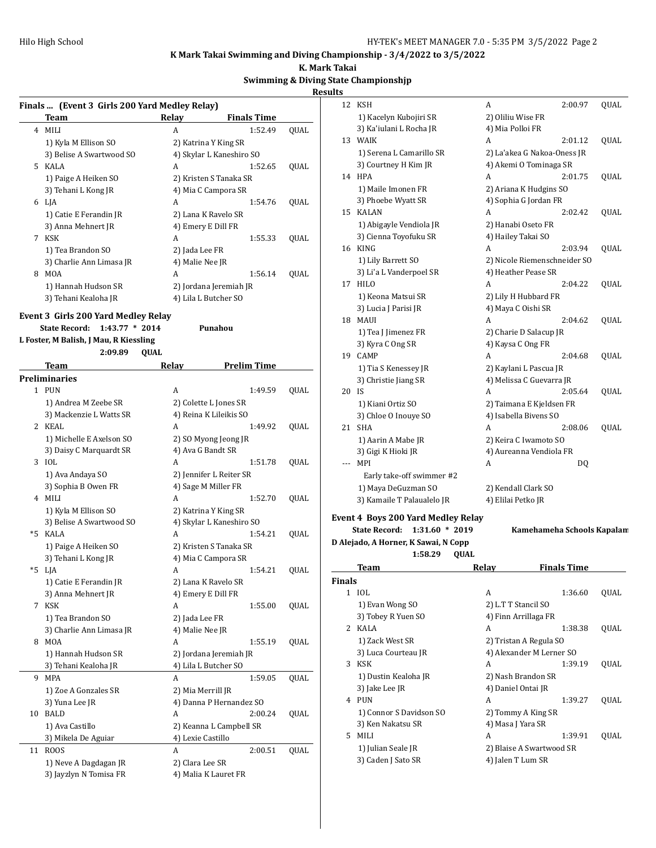**K. Mark Takai**

## **Swimming & Diving State Championshjp**

**Results**

|   |                                                  |                                                  |                    |      | Results       |                                           |      |                              |                           |      |
|---|--------------------------------------------------|--------------------------------------------------|--------------------|------|---------------|-------------------------------------------|------|------------------------------|---------------------------|------|
|   | Finals  (Event 3 Girls 200 Yard Medley Relay)    |                                                  |                    |      |               | 12 KSH                                    |      | A                            | 2:00.97                   | QUAL |
|   | Team                                             | Relay                                            | <b>Finals Time</b> |      |               | 1) Kacelyn Kubojiri SR                    |      | 2) Oliliu Wise FR            |                           |      |
|   | 4 MILI                                           | A                                                | 1:52.49            | QUAL |               | 3) Ka'iulani L Rocha JR                   |      | 4) Mia Polloi FR             |                           |      |
|   | 1) Kyla M Ellison SO                             | 2) Katrina Y King SR                             |                    |      |               | 13 WAIK                                   |      | A                            | 2:01.12                   | QUAL |
|   | 3) Belise A Swartwood SO                         | 4) Skylar L Kaneshiro SO                         |                    |      |               | 1) Serena L Camarillo SR                  |      | 2) La'akea G Nakoa-Oness JR  |                           |      |
|   | 5 KALA                                           | A                                                | 1:52.65            | QUAL |               | 3) Courtney H Kim JR                      |      | 4) Akemi O Tominaga SR       |                           |      |
|   | 1) Paige A Heiken SO                             | 2) Kristen S Tanaka SR                           |                    |      |               | 14 HPA                                    |      | A                            | 2:01.75                   | QUAL |
|   | 3) Tehani L Kong JR                              | 4) Mia C Campora SR                              |                    |      |               | 1) Maile Imonen FR                        |      | 2) Ariana K Hudgins SO       |                           |      |
|   | 6 LJA                                            | A                                                | 1:54.76            | QUAL |               | 3) Phoebe Wyatt SR                        |      | 4) Sophia G Jordan FR        |                           |      |
|   | 1) Catie E Ferandin JR                           | 2) Lana K Ravelo SR                              |                    |      |               | 15 KALAN                                  |      | A                            | 2:02.42                   | QUAL |
|   | 3) Anna Mehnert JR                               | 4) Emery E Dill FR                               |                    |      |               | 1) Abigayle Vendiola JR                   |      | 2) Hanabi Oseto FR           |                           |      |
|   | 7 KSK                                            | A                                                | 1:55.33            | QUAL |               | 3) Cienna Toyofuku SR                     |      | 4) Hailey Takai SO           |                           |      |
|   | 1) Tea Brandon SO                                | 2) Jada Lee FR                                   |                    |      |               | 16 KING                                   |      | A                            | 2:03.94                   | QUAL |
|   | 3) Charlie Ann Limasa JR                         | 4) Malie Nee JR                                  |                    |      |               | 1) Lily Barrett SO                        |      | 2) Nicole Riemenschneider SO |                           |      |
|   | 8 MOA                                            | А                                                | 1:56.14            | QUAL |               | 3) Li'a L Vanderpoel SR                   |      | 4) Heather Pease SR          |                           |      |
|   | 1) Hannah Hudson SR                              | 2) Jordana Jeremiah JR                           |                    |      |               | 17 HILO                                   |      | A                            | 2:04.22                   | QUAL |
|   | 3) Tehani Kealoha JR                             | 4) Lila L Butcher SO                             |                    |      |               | 1) Keona Matsui SR                        |      | 2) Lily H Hubbard FR         |                           |      |
|   |                                                  |                                                  |                    |      |               | 3) Lucia J Parisi JR                      |      | 4) Maya C Oishi SR           |                           |      |
|   | Event 3 Girls 200 Yard Medley Relay              |                                                  |                    |      |               | 18 MAUI                                   |      | A                            | 2:04.62                   | QUAL |
|   | State Record: 1:43.77 * 2014                     | Punahou                                          |                    |      |               | 1) Tea J Jimenez FR                       |      | 2) Charie D Salacup JR       |                           |      |
|   | L Foster, M Balish, J Mau, R Kiessling           |                                                  |                    |      |               | 3) Kyra C Ong SR                          |      | 4) Kaysa C Ong FR            |                           |      |
|   | 2:09.89<br><b>QUAL</b>                           |                                                  |                    |      |               | 19 CAMP                                   |      | A                            | 2:04.68                   | QUAL |
|   | Team                                             | Relav                                            | <b>Prelim Time</b> |      |               | 1) Tia S Kenessey JR                      |      | 2) Kaylani L Pascua JR       |                           |      |
|   | <b>Preliminaries</b>                             |                                                  |                    |      |               | 3) Christie Jiang SR                      |      | 4) Melissa C Guevarra JR     |                           |      |
|   | 1 PUN                                            | A                                                | 1:49.59            | QUAL | 20 IS         |                                           |      | A                            | 2:05.64                   | QUAL |
|   | 1) Andrea M Zeebe SR                             | 2) Colette L Jones SR                            |                    |      |               | 1) Kiani Ortiz SO                         |      | 2) Taimana E Kjeldsen FR     |                           |      |
|   | 3) Mackenzie L Watts SR                          | 4) Reina K Lileikis SO                           |                    |      |               | 3) Chloe O Inouye SO                      |      | 4) Isabella Bivens SO        |                           |      |
|   | 2 KEAL                                           | A                                                | 1:49.92            | QUAL |               | 21 SHA                                    |      | A                            | 2:08.06                   | QUAL |
|   | 1) Michelle E Axelson SO                         | 2) SO Myong Jeong JR                             |                    |      |               |                                           |      |                              |                           |      |
|   | 3) Daisy C Marquardt SR                          | 4) Ava G Bandt SR                                |                    |      |               | 1) Aarin A Mabe JR                        |      | 2) Keira C Iwamoto SO        |                           |      |
|   | 3 IOL                                            | А                                                | 1:51.78            | QUAL |               | 3) Gigi K Hioki JR<br>--- MPI             |      | 4) Aureanna Vendiola FR<br>A |                           |      |
|   | 1) Ava Andaya SO                                 | 2) Jennifer L Reiter SR                          |                    |      |               |                                           |      |                              | DQ                        |      |
|   | 3) Sophia B Owen FR                              | 4) Sage M Miller FR                              |                    |      |               | Early take-off swimmer #2                 |      |                              |                           |      |
|   | 4 MILI                                           | A                                                | 1:52.70            | QUAL |               | 1) Maya DeGuzman SO                       |      | 2) Kendall Clark SO          |                           |      |
|   |                                                  |                                                  |                    |      |               | 3) Kamaile T Palaualelo JR                |      | 4) Elilai Petko JR           |                           |      |
|   | 1) Kyla M Ellison SO<br>3) Belise A Swartwood SO | 2) Katrina Y King SR<br>4) Skylar L Kaneshiro SO |                    |      |               | <b>Event 4 Boys 200 Yard Medley Relay</b> |      |                              |                           |      |
|   | *5 KALA                                          | A                                                | 1:54.21            |      |               | State Record: 1:31.60 * 2019              |      |                              | Kamehameha Schools Kapala |      |
|   |                                                  | 2) Kristen S Tanaka SR                           |                    | QUAL |               | D Alejado, A Horner, K Sawai, N Copp      |      |                              |                           |      |
|   | 1) Paige A Heiken SO                             |                                                  |                    |      |               | 1:58.29                                   | QUAL |                              |                           |      |
|   | 3) Tehani L Kong JR                              | 4) Mia C Campora SR                              |                    |      |               | <b>Team</b>                               |      | Relay                        | <b>Finals Time</b>        |      |
|   | *5 LJA                                           | A                                                | 1:54.21            | QUAL | <b>Finals</b> |                                           |      |                              |                           |      |
|   | 1) Catie E Ferandin JR                           | 2) Lana K Ravelo SR                              |                    |      |               | 1 IOL                                     |      | A                            | 1:36.60                   | QUAL |
|   | 3) Anna Mehnert JR                               | 4) Emery E Dill FR                               |                    |      |               | 1) Evan Wong SO                           |      | 2) L.T T Stancil SO          |                           |      |
|   | 7 KSK                                            | A                                                | 1:55.00            | QUAL |               | 3) Tobey R Yuen SO                        |      | 4) Finn Arrillaga FR         |                           |      |
|   | 1) Tea Brandon SO                                | 2) Jada Lee FR                                   |                    |      |               | 2 KALA                                    |      |                              |                           |      |
|   | 3) Charlie Ann Limasa JR                         | 4) Malie Nee JR                                  |                    |      |               |                                           |      | A                            | 1:38.38                   | QUAL |
| 8 | MOA                                              | А                                                | 1:55.19            | QUAL |               | 1) Zack West SR                           |      | 2) Tristan A Regula SO       |                           |      |
|   | 1) Hannah Hudson SR                              | 2) Jordana Jeremiah JR                           |                    |      |               | 3) Luca Courteau JR                       |      | 4) Alexander M Lerner SO     |                           |      |
|   | 3) Tehani Kealoha JR                             | 4) Lila L Butcher SO                             |                    |      |               | 3 KSK                                     |      | A                            | 1:39.19                   | QUAL |
|   | 9 MPA                                            | А                                                | 1:59.05            | QUAL |               | 1) Dustin Kealoha JR                      |      | 2) Nash Brandon SR           |                           |      |
|   | 1) Zoe A Gonzales SR                             | 2) Mia Merrill JR                                |                    |      |               | 3) Jake Lee JR                            |      | 4) Daniel Ontai JR           |                           |      |
|   | 3) Yuna Lee JR                                   | 4) Danna P Hernandez SO                          |                    |      |               | 4 PUN                                     |      | A                            | 1:39.27                   | QUAL |
|   | 10 BALD                                          | A                                                | 2:00.24            | QUAL |               | 1) Connor S Davidson SO                   |      | 2) Tommy A King SR           |                           |      |
|   | 1) Ava Castillo                                  | 2) Keanna L Campbell SR                          |                    |      |               | 3) Ken Nakatsu SR                         |      | 4) Masa J Yara SR            |                           |      |
|   | 3) Mikela De Aguiar                              | 4) Lexie Castillo                                |                    |      |               | 5 MILI                                    |      | A                            | 1:39.91                   | QUAL |
|   | 11 ROOS                                          | A                                                | 2:00.51            | QUAL |               | 1) Julian Seale JR                        |      | 2) Blaise A Swartwood SR     |                           |      |
|   | 1) Neve A Dagdagan JR                            | 2) Clara Lee SR                                  |                    |      |               | 3) Caden J Sato SR                        |      | 4) Jalen T Lum SR            |                           |      |
|   | 3) Jayzlyn N Tomisa FR                           | 4) Malia K Lauret FR                             |                    |      |               |                                           |      |                              |                           |      |
|   |                                                  |                                                  |                    |      |               |                                           |      |                              |                           |      |
|   |                                                  |                                                  |                    |      |               |                                           |      |                              |                           |      |

| lts    |                                          |                              |      |
|--------|------------------------------------------|------------------------------|------|
| 12     | KSH                                      | A<br>2:00.97                 | QUAL |
|        | 1) Kacelyn Kubojiri SR                   | 2) Oliliu Wise FR            |      |
|        | 3) Ka'iulani L Rocha JR                  | 4) Mia Polloi FR             |      |
| 13     | WAIK                                     | A<br>2:01.12                 | QUAL |
|        | 1) Serena L Camarillo SR                 | 2) La'akea G Nakoa-Oness JR  |      |
|        | 3) Courtney H Kim JR                     | 4) Akemi O Tominaga SR       |      |
| 14     | HPA                                      | A<br>2:01.75                 | QUAL |
|        | 1) Maile Imonen FR                       | 2) Ariana K Hudgins SO       |      |
|        | 3) Phoebe Wyatt SR                       | 4) Sophia G Jordan FR        |      |
| 15     | <b>KALAN</b>                             | A<br>2:02.42                 | QUAL |
|        | 1) Abigayle Vendiola JR                  | 2) Hanabi Oseto FR           |      |
|        | 3) Cienna Toyofuku SR                    | 4) Hailey Takai SO           |      |
| 16     | KING                                     | А<br>2:03.94                 | QUAL |
|        | 1) Lily Barrett SO                       | 2) Nicole Riemenschneider SO |      |
|        | 3) Li'a L Vanderpoel SR                  | 4) Heather Pease SR          |      |
| 17     | HILO                                     | A<br>2:04.22                 | QUAL |
|        | 1) Keona Matsui SR                       | 2) Lily H Hubbard FR         |      |
|        | 3) Lucia J Parisi JR                     | 4) Maya C Oishi SR           |      |
| 18     | MAUI                                     | A<br>2:04.62                 | QUAL |
|        | 1) Tea J Jimenez FR                      | 2) Charie D Salacup JR       |      |
|        | 3) Kyra C Ong SR                         | 4) Kaysa C Ong FR            |      |
| 19     | CAMP                                     | A<br>2:04.68                 | QUAL |
|        | 1) Tia S Kenessey JR                     | 2) Kaylani L Pascua JR       |      |
|        | 3) Christie Jiang SR                     | 4) Melissa C Guevarra JR     |      |
| 20     | IS.                                      | A<br>2:05.64                 | QUAL |
|        | 1) Kiani Ortiz SO                        | 2) Taimana E Kjeldsen FR     |      |
|        | 3) Chloe O Inouye SO                     | 4) Isabella Bivens SO        |      |
| 21     | SHA                                      | A<br>2:08.06                 | QUAL |
|        | 1) Aarin A Mabe JR                       | 2) Keira C Iwamoto SO        |      |
|        | 3) Gigi K Hioki JR                       | 4) Aureanna Vendiola FR      |      |
|        | MPI                                      | DQ<br>A                      |      |
|        | Early take-off swimmer #2                |                              |      |
|        | 1) Maya DeGuzman SO                      | 2) Kendall Clark SO          |      |
|        | 3) Kamaile T Palaualelo JR               | 4) Elilai Petko JR           |      |
|        | Event 4 Boys 200 Yard Medley Relay       |                              |      |
|        | <b>State Record:</b><br>$1:31.60 * 2019$ | Kamehameha Schools Kapalam   |      |
|        | D Alejado, A Horner, K Sawai, N Copp     |                              |      |
|        | 1:58.29<br>QUAL                          |                              |      |
|        | Team                                     | <u>Finals Time</u><br>Relay  |      |
| Finals |                                          |                              |      |
|        | 1 IOL                                    | A<br>1:36.60                 | QUAL |
|        | 1) Evan Wong SO                          | 2) L.T T Stancil SO          |      |
|        | 3) Tobey R Yuen SO                       | 4) Finn Arrillaga FR         |      |
|        | 2 KALA                                   | A<br>1:38.38                 | QUAL |
|        | 1) Zack West SR                          | 2) Tristan A Regula SO       |      |
|        | 3) Luca Courteau JR                      | 4) Alexander M Lerner SO     |      |
|        | 3 KSK                                    | А<br>1:39.19                 | QUAL |
|        | 1) Dustin Kealoha JR                     | 2) Nash Brandon SR           |      |
|        | 3) Jake Lee JR                           | 4) Daniel Ontai JR           |      |
|        | 4 PUN                                    | A<br>1:39.27                 | QUAL |
|        | 1) Connor S Davidson SO                  | 2) Tommy A King SR           |      |
|        | 3) Ken Nakatsu SR                        | 4) Masa J Yara SR            |      |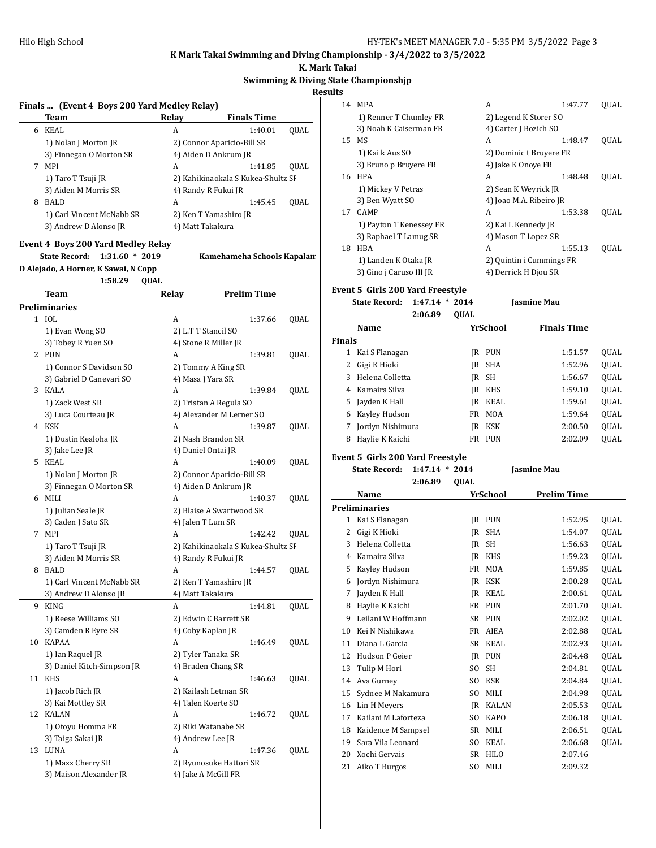**K. Mark Takai**

|                | <b>Swimming &amp; Diving State Championship</b> |  |  |  |  |  |
|----------------|-------------------------------------------------|--|--|--|--|--|
| <b>Results</b> |                                                 |  |  |  |  |  |
|                |                                                 |  |  |  |  |  |

| Finals  (Event 4 Boys 200 Yard Medley Relay) |                                           |                                    |      |  |  |  |
|----------------------------------------------|-------------------------------------------|------------------------------------|------|--|--|--|
|                                              | Team                                      | Relay<br><b>Finals Time</b>        |      |  |  |  |
|                                              | 6 KEAL                                    | 1:40.01<br>A                       | QUAL |  |  |  |
|                                              | 1) Nolan J Morton JR                      | 2) Connor Aparicio-Bill SR         |      |  |  |  |
|                                              | 3) Finnegan O Morton SR                   | 4) Aiden D Ankrum JR               |      |  |  |  |
|                                              | 7 MPI                                     | 1:41.85<br>A                       | QUAL |  |  |  |
|                                              | 1) Taro T Tsuji JR                        | 2) Kahikinaokala S Kukea-Shultz SI |      |  |  |  |
|                                              | 3) Aiden M Morris SR                      | 4) Randy R Fukui JR                |      |  |  |  |
|                                              | 8 BALD                                    | A<br>1:45.45                       | QUAL |  |  |  |
|                                              | 1) Carl Vincent McNabb SR                 | 2) Ken T Yamashiro JR              |      |  |  |  |
|                                              | 3) Andrew D Alonso JR                     | 4) Matt Takakura                   |      |  |  |  |
|                                              | <b>Event 4 Boys 200 Yard Medley Relay</b> |                                    |      |  |  |  |
|                                              | <b>State Record:</b><br>$1:31.60 * 2019$  | Kamehameha Schools Kapalam         |      |  |  |  |
|                                              | D Alejado, A Horner, K Sawai, N Copp      |                                    |      |  |  |  |
|                                              | 1:58.29<br>QUAL                           |                                    |      |  |  |  |
|                                              | Team                                      | <b>Relay</b><br><b>Prelim Time</b> |      |  |  |  |
|                                              | <b>Preliminaries</b>                      |                                    |      |  |  |  |
|                                              | 1 IOL                                     | A<br>1:37.66                       | QUAL |  |  |  |
|                                              | 1) Evan Wong SO                           | 2) L.T T Stancil SO                |      |  |  |  |
|                                              | 3) Tobey R Yuen SO                        | 4) Stone R Miller JR               |      |  |  |  |
|                                              | 2 PUN                                     | A<br>1:39.81                       | QUAL |  |  |  |
|                                              | 1) Connor S Davidson SO                   | 2) Tommy A King SR                 |      |  |  |  |
|                                              | 3) Gabriel D Canevari SO                  | 4) Masa J Yara SR                  |      |  |  |  |
|                                              | 3 KALA                                    | A<br>1:39.84                       | QUAL |  |  |  |
|                                              | 1) Zack West SR                           | 2) Tristan A Regula SO             |      |  |  |  |
|                                              | 3) Luca Courteau JR                       | 4) Alexander M Lerner SO           |      |  |  |  |
|                                              | 4 KSK                                     | A<br>1:39.87                       | QUAL |  |  |  |
|                                              | 1) Dustin Kealoha JR                      | 2) Nash Brandon SR                 |      |  |  |  |
|                                              | 3) Jake Lee JR                            | 4) Daniel Ontai JR                 |      |  |  |  |
|                                              | 5 KEAL                                    | A<br>1:40.09                       | QUAL |  |  |  |
|                                              | 1) Nolan J Morton JR                      | 2) Connor Aparicio-Bill SR         |      |  |  |  |
|                                              | 3) Finnegan O Morton SR                   | 4) Aiden D Ankrum JR               |      |  |  |  |
|                                              | 6 MILI                                    | A<br>1:40.37                       | QUAL |  |  |  |
|                                              | 1) Julian Seale JR                        | 2) Blaise A Swartwood SR           |      |  |  |  |
|                                              | 3) Caden J Sato SR                        | 4) Jalen T Lum SR                  |      |  |  |  |
|                                              | 7 MPI                                     | A<br>1:42.42                       | QUAL |  |  |  |
|                                              | 1) Taro T Tsuji JR                        | 2) Kahikinaokala S Kukea-Shultz SI |      |  |  |  |
|                                              | 3) Aiden M Morris SR                      | 4) Randy R Fukui JR                |      |  |  |  |
| 8                                            | BALD                                      | A<br>1:44.57                       | QUAL |  |  |  |
|                                              | 1) Carl Vincent McNabb SR                 | 2) Ken T Yamashiro JR              |      |  |  |  |
|                                              | 3) Andrew D Alonso JR                     | 4) Matt Takakura                   |      |  |  |  |
| 9                                            | <b>KING</b>                               | A<br>1:44.81                       | QUAL |  |  |  |
|                                              | 1) Reese Williams SO                      | 2) Edwin C Barrett SR              |      |  |  |  |
|                                              | 3) Camden R Eyre SR                       | 4) Coby Kaplan JR                  |      |  |  |  |
|                                              | 10 KAPAA                                  | 1:46.49<br>A                       | QUAL |  |  |  |
|                                              | 1) Ian Raquel JR                          | 2) Tyler Tanaka SR                 |      |  |  |  |
| 11                                           | 3) Daniel Kitch-Simpson JR<br><b>KHS</b>  | 4) Braden Chang SR<br>A<br>1:46.63 | QUAL |  |  |  |
|                                              | 1) Jacob Rich JR                          | 2) Kailash Letman SR               |      |  |  |  |
|                                              | 3) Kai Mottley SR                         | 4) Talen Koerte SO                 |      |  |  |  |
| 12                                           | KALAN                                     | A<br>1:46.72                       | QUAL |  |  |  |
|                                              | 1) Otoyu Homma FR                         | 2) Riki Watanabe SR                |      |  |  |  |
|                                              | 3) Taiga Sakai JR                         | 4) Andrew Lee JR                   |      |  |  |  |
| 13                                           | LUNA                                      | A<br>1:47.36                       | QUAL |  |  |  |
|                                              | 1) Maxx Cherry SR                         | 2) Ryunosuke Hattori SR            |      |  |  |  |
|                                              | 3) Maison Alexander JR                    | 4) Jake A McGill FR                |      |  |  |  |
|                                              |                                           |                                    |      |  |  |  |

| 14 | MPA                     | A                        | 1:47.77 | QUAL |  |  |  |  |
|----|-------------------------|--------------------------|---------|------|--|--|--|--|
|    | 1) Renner T Chumley FR  | 2) Legend K Storer SO    |         |      |  |  |  |  |
|    | 3) Noah K Caiserman FR  | 4) Carter J Bozich SO    |         |      |  |  |  |  |
| 15 | MS                      | A                        | 1:48.47 | QUAL |  |  |  |  |
|    | 1) Kai k Aus SO         | 2) Dominic t Bruyere FR  |         |      |  |  |  |  |
|    | 3) Bruno p Bruyere FR   | 4) Jake K Onoye FR       |         |      |  |  |  |  |
| 16 | <b>HPA</b>              | A                        | 1:48.48 | OUAL |  |  |  |  |
|    | 1) Mickey V Petras      | 2) Sean K Weyrick JR     |         |      |  |  |  |  |
|    | 3) Ben Wyatt SO         | 4) Joao M.A. Ribeiro JR  |         |      |  |  |  |  |
| 17 | <b>CAMP</b>             | A                        | 1:53.38 | QUAL |  |  |  |  |
|    | 1) Payton T Kenessey FR | 2) Kai L Kennedy JR      |         |      |  |  |  |  |
|    | 3) Raphael T Lamug SR   | 4) Mason T Lopez SR      |         |      |  |  |  |  |
| 18 | <b>HBA</b>              | A                        | 1:55.13 | QUAL |  |  |  |  |
|    | 1) Landen K Otaka JR    | 2) Quintin i Cummings FR |         |      |  |  |  |  |
|    | 3) Gino i Caruso III JR | 4) Derrick H Djou SR     |         |      |  |  |  |  |
|    |                         |                          |         |      |  |  |  |  |

# **Event 5 Girls 200 Yard Freestyle**

| State Record: 1:47.14 * 2014 |         |      | Jasmine Mau |
|------------------------------|---------|------|-------------|
|                              | 2:06.89 | OUAL |             |

|               | Name             |     | YrSchool   | <b>Finals Time</b> |             |
|---------------|------------------|-----|------------|--------------------|-------------|
| <b>Finals</b> |                  |     |            |                    |             |
| 1             | Kai S Flanagan   |     | IR PUN     | 1:51.57            | OUAL        |
|               | Gigi K Hioki     |     | IR SHA     | 1:52.96            | <b>OUAL</b> |
| 3             | Helena Colletta  |     | IR SH      | 1:56.67            | <b>OUAL</b> |
| 4             | Kamaira Silva    |     | JR KHS     | 1:59.10            | <b>OUAL</b> |
| 5.            | Jayden K Hall    | IR  | KEAL       | 1:59.61            | <b>OUAL</b> |
| 6             | Kayley Hudson    | FR. | MOA        | 1:59.64            | <b>OUAL</b> |
|               | Jordyn Nishimura | IR  | KSK        | 2:00.50            | <b>OUAL</b> |
|               | Haylie K Kaichi  | FR  | <b>PUN</b> | 2:02.09            | <b>OUAL</b> |

#### **Event 5 Girls 200 Yard Freestyle**

| $N = 0$                      |              | $V_{\text{eff}}$ cahaal | Daolim Ti          |
|------------------------------|--------------|-------------------------|--------------------|
|                              | 2:06.89 OUAL |                         |                    |
| State Record: 1:47.14 * 2014 |              |                         | <b>Iasmine Mau</b> |

| Name |    |                      | YrSchool       | Prelim Time  |         |             |
|------|----|----------------------|----------------|--------------|---------|-------------|
|      |    | <b>Preliminaries</b> |                |              |         |             |
|      | 1  | Kai S Flanagan       | IR             | <b>PUN</b>   | 1:52.95 | QUAL        |
|      | 2  | Gigi K Hioki         | IR             | <b>SHA</b>   | 1:54.07 | QUAL        |
|      | 3  | Helena Colletta      | IR             | <b>SH</b>    | 1:56.63 | QUAL        |
|      | 4  | Kamaira Silva        | IR             | <b>KHS</b>   | 1:59.23 | QUAL        |
|      | 5  | Kayley Hudson        | <b>FR</b>      | <b>MOA</b>   | 1:59.85 | QUAL        |
|      | 6  | Jordyn Nishimura     | IR             | <b>KSK</b>   | 2:00.28 | QUAL        |
|      | 7  | Jayden K Hall        | IR             | <b>KEAL</b>  | 2:00.61 | QUAL        |
|      | 8  | Haylie K Kaichi      | FR             | <b>PUN</b>   | 2:01.70 | QUAL        |
|      | 9  | Leilani W Hoffmann   | SR             | <b>PUN</b>   | 2:02.02 | QUAL        |
|      | 10 | Kei N Nishikawa      | FR             | AIEA         | 2:02.88 | QUAL        |
|      | 11 | Diana L Garcia       | SR             | KEAL         | 2:02.93 | QUAL        |
|      | 12 | Hudson P Geier       | IR             | <b>PUN</b>   | 2:04.48 | QUAL        |
|      | 13 | Tulip M Hori         | SO.            | <b>SH</b>    | 2:04.81 | <b>OUAL</b> |
|      | 14 | Ava Gurney           | SO.            | <b>KSK</b>   | 2:04.84 | QUAL        |
|      | 15 | Sydnee M Nakamura    | SO.            | MILI         | 2:04.98 | QUAL        |
|      | 16 | Lin H Meyers         | IR             | <b>KALAN</b> | 2:05.53 | QUAL        |
|      | 17 | Kailani M Laforteza  | S <sub>O</sub> | <b>KAPO</b>  | 2:06.18 | QUAL        |
|      | 18 | Kaidence M Sampsel   | SR             | MILI         | 2:06.51 | QUAL        |
|      | 19 | Sara Vila Leonard    | SO.            | <b>KEAL</b>  | 2:06.68 | QUAL        |
|      | 20 | Xochi Gervais        | SR             | <b>HILO</b>  | 2:07.46 |             |
|      | 21 | Aiko T Burgos        | SO.            | MILI         | 2:09.32 |             |
|      |    |                      |                |              |         |             |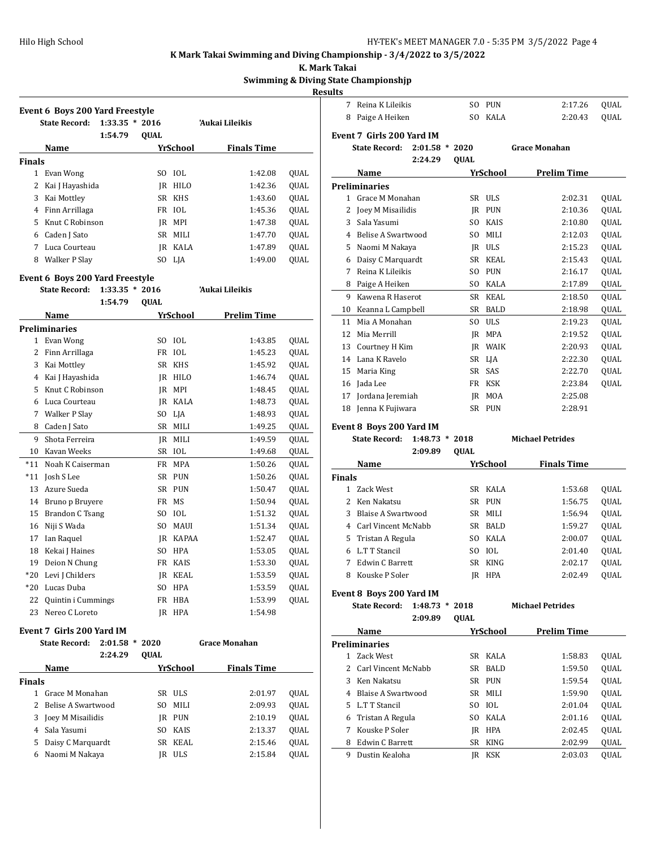**K. Mark Takai**

## **Swimming & Diving State Championshjp**

|        |                                                     |                                |                      | <b>Results</b>        |                                  |                  |      |                 |                         |      |
|--------|-----------------------------------------------------|--------------------------------|----------------------|-----------------------|----------------------------------|------------------|------|-----------------|-------------------------|------|
|        | <b>Event 6 Boys 200 Yard Freestyle</b>              |                                |                      |                       | 7 Reina K Lileikis               |                  |      | SO PUN          | 2:17.26                 | QUAL |
|        | State Record: 1:33.35 * 2016                        |                                | 'Aukai Lileikis      |                       | 8 Paige A Heiken                 |                  |      | SO KALA         | 2:20.43                 | QUAL |
|        | 1:54.79                                             | QUAL                           |                      |                       | <b>Event 7 Girls 200 Yard IM</b> |                  |      |                 |                         |      |
|        | Name                                                | <b>YrSchool</b>                | <b>Finals Time</b>   |                       | <b>State Record:</b>             | $2:01.58$ *      | 2020 |                 | <b>Grace Monahan</b>    |      |
| Finals |                                                     |                                |                      |                       |                                  | 2:24.29          | QUAL |                 |                         |      |
|        | 1 Evan Wong                                         | IOL<br>SO.                     | 1:42.08              | QUAL                  | Name                             |                  |      | <b>YrSchool</b> | <b>Prelim Time</b>      |      |
| 2      | Kai J Hayashida                                     | HILO<br>IR                     | 1:42.36              | QUAL                  | <b>Preliminaries</b>             |                  |      |                 |                         |      |
| 3      | Kai Mottley                                         | SR<br>KHS                      | 1:43.60              | QUAL                  | 1 Grace M Monahan                |                  |      | SR ULS          | 2:02.31                 | QUAL |
| 4      | Finn Arrillaga                                      | FR IOL                         | 1:45.36              | QUAL                  | 2 Joey M Misailidis              |                  |      | <b>IR PUN</b>   | 2:10.36                 | QUAL |
| 5      | Knut C Robinson                                     | IR MPI                         | 1:47.38              | QUAL                  | 3 Sala Yasumi                    |                  |      | SO KAIS         | 2:10.80                 | QUAL |
| 6      | Caden J Sato                                        | SR MILI                        | 1:47.70              | QUAL<br>4             | <b>Belise A Swartwood</b>        |                  |      | SO MILI         | 2:12.03                 | QUAL |
|        | 7 Luca Courteau                                     | KALA<br>IR                     | 1:47.89              | QUAL<br>5             | Naomi M Nakaya                   |                  |      | IR ULS          | 2:15.23                 | QUAL |
|        | 8 Walker P Slay                                     | SO LJA                         | 1:49.00              | QUAL<br>6             | Daisy C Marquardt                |                  |      | SR KEAL         | 2:15.43                 | QUAL |
|        |                                                     |                                |                      |                       | 7 Reina K Lileikis               |                  |      | SO PUN          | 2:16.17                 | QUAL |
|        | <b>Event 6 Boys 200 Yard Freestyle</b>              |                                |                      |                       | 8 Paige A Heiken                 |                  |      | SO KALA         | 2:17.89                 | QUAL |
|        | <b>State Record:</b><br>$1:33.35 * 2016$<br>1:54.79 |                                | 'Aukai Lileikis      |                       | 9 Kawena R Haserot               |                  |      | SR KEAL         | 2:18.50                 | QUAL |
|        |                                                     | QUAL                           |                      | 10                    | Keanna L Campbell                |                  |      | SR BALD         | 2:18.98                 | QUAL |
|        | Name                                                | YrSchool                       | <b>Prelim Time</b>   | 11                    | Mia A Monahan                    |                  |      | SO ULS          | 2:19.23                 | QUAL |
|        | Preliminaries                                       |                                |                      | 12                    | Mia Merrill                      |                  |      | IR MPA          | 2:19.52                 | QUAL |
|        | 1 Evan Wong                                         | IOL<br>SO.<br><b>IOL</b><br>FR | 1:43.85              | QUAL<br>13            | Courtney H Kim                   |                  |      | <b>IR WAIK</b>  | 2:20.93                 | QUAL |
| 2      | Finn Arrillaga                                      | SR KHS                         | 1:45.23<br>1:45.92   | QUAL<br>14            | Lana K Ravelo                    |                  |      | SR LJA          | 2:22.30                 | QUAL |
| 3      | Kai Mottley                                         | IR HILO                        | 1:46.74              | QUAL<br>15            | Maria King                       |                  |      | SR SAS          | 2:22.70                 | QUAL |
| 4<br>5 | Kai J Hayashida<br>Knut C Robinson                  | MPI<br>IR                      | 1:48.45              | QUAL<br>QUAL          | 16 Jada Lee                      |                  |      | FR KSK          | 2:23.84                 | QUAL |
| 6      | Luca Courteau                                       | <b>IR KALA</b>                 | 1:48.73              | QUAL                  | 17 Jordana Jeremiah              |                  | IR   | MOA             | 2:25.08                 |      |
|        | 7 Walker P Slay                                     | SO LJA                         | 1:48.93              | QUAL                  | 18 Jenna K Fujiwara              |                  |      | SR PUN          | 2:28.91                 |      |
| 8      | Caden J Sato                                        | SR MILI                        | 1:49.25              | QUAL                  | Event 8 Boys 200 Yard IM         |                  |      |                 |                         |      |
| 9      | Shota Ferreira                                      | JR<br>MILI                     | 1:49.59              | QUAL                  | <b>State Record:</b>             | $1:48.73 * 2018$ |      |                 | <b>Michael Petrides</b> |      |
| 10     | Kavan Weeks                                         | SR IOL                         | 1:49.68              | QUAL                  |                                  | 2:09.89          | QUAL |                 |                         |      |
| *11    | Noah K Caiserman                                    | FR MPA                         | 1:50.26              | QUAL                  | Name                             |                  |      | <b>YrSchool</b> | <b>Finals Time</b>      |      |
| *11    | Josh S Lee                                          | PUN<br>SR                      | 1:50.26              | <b>Finals</b><br>QUAL |                                  |                  |      |                 |                         |      |
| 13     | Azure Sueda                                         | SR<br>PUN                      | 1:50.47              | QUAL                  | 1 Zack West                      |                  |      | SR KALA         | 1:53.68                 | QUAL |
| 14     | Bruno p Bruyere                                     | FR<br>MS                       | 1:50.94              | QUAL                  | 2 Ken Nakatsu                    |                  |      | SR PUN          | 1:56.75                 | QUAL |
| 15     | Brandon C Tsang                                     | <b>IOL</b><br>SO.              | 1:51.32              | QUAL<br>3             | <b>Blaise A Swartwood</b>        |                  |      | SR MILI         | 1:56.94                 | QUAL |
| 16     | Niji S Wada                                         | <b>MAUI</b><br>SO.             | 1:51.34              | QUAL<br>4             | Carl Vincent McNabb              |                  | SR   | <b>BALD</b>     | 1:59.27                 | QUAL |
| 17     | Ian Raquel                                          | KAPAA<br>IR.                   | 1:52.47              | QUAL<br>5             | Tristan A Regula                 |                  | SO.  | KALA            | 2:00.07                 | QUAL |
| 18     | Kekai J Haines                                      | <b>HPA</b><br>SO.              | 1:53.05              | QUAL<br>6             | L.T T Stancil                    |                  |      | SO IOL          | 2:01.40                 | QUAL |
|        | 19 Deion N Chung                                    | KAIS<br>FR                     | 1:53.30              | QUAL                  | 7 Edwin C Barrett                |                  |      | SR KING         | 2:02.17                 | QUAL |
|        | *20 Levi J Childers                                 | JR KEAL                        | 1:53.59              | QUAL                  | 8 Kouske P Soler                 |                  |      | JR HPA          | 2:02.49                 | QUAL |
|        | *20 Lucas Duba                                      | SO HPA                         | 1:53.59              | QUAL                  | Event 8 Boys 200 Yard IM         |                  |      |                 |                         |      |
| 22     | Quintin i Cummings                                  | FR HBA                         | 1:53.99              | QUAL                  | State Record: 1:48.73 * 2018     |                  |      |                 | <b>Michael Petrides</b> |      |
|        | 23 Nereo C Loreto                                   | JR HPA                         | 1:54.98              |                       |                                  | 2:09.89          | QUAL |                 |                         |      |
|        | Event 7 Girls 200 Yard IM                           |                                |                      |                       | Name                             |                  |      | <u>YrSchool</u> | <b>Prelim Time</b>      |      |
|        | State Record: 2:01.58 * 2020                        |                                | <b>Grace Monahan</b> |                       | Preliminaries                    |                  |      |                 |                         |      |
|        | 2:24.29                                             | QUAL                           |                      |                       | 1 Zack West                      |                  |      | SR KALA         | 1:58.83                 | QUAL |
|        | Name                                                | <b>YrSchool</b>                | <b>Finals Time</b>   |                       | 2 Carl Vincent McNabb            |                  |      | SR BALD         | 1:59.50                 | QUAL |
| Finals |                                                     |                                |                      |                       | 3 Ken Nakatsu                    |                  |      | SR PUN          | 1:59.54                 | QUAL |
|        | 1 Grace M Monahan                                   | SR ULS                         | 2:01.97              | QUAL<br>4             | Blaise A Swartwood               |                  |      | SR MILI         | 1:59.90                 | QUAL |
|        | 2 Belise A Swartwood                                | MILI<br>SO                     | 2:09.93              | QUAL                  | 5 L.T T Stancil                  |                  |      | SO IOL          | 2:01.04                 | QUAL |
| 3      | Joey M Misailidis                                   | JR PUN                         | 2:10.19              | QUAL<br>6             | Tristan A Regula                 |                  |      | SO KALA         | 2:01.16                 | QUAL |
|        | 4 Sala Yasumi                                       | SO KAIS                        | 2:13.37              | QUAL                  | 7 Kouske P Soler                 |                  |      | JR HPA          | 2:02.45                 | QUAL |
|        | 5 Daisy C Marquardt                                 | SR KEAL                        | 2:15.46              | QUAL                  | 8 Edwin C Barrett                |                  |      | SR KING         | 2:02.99                 | QUAL |

Naomi M Nakaya JR ULS 2:15.84 QUAL

| 7              | Reina K Lileikis                        |             | SO.  | PUN               | 2:17.26                 | QUAL         |
|----------------|-----------------------------------------|-------------|------|-------------------|-------------------------|--------------|
| 8              | Paige A Heiken                          |             | SO.  | <b>KALA</b>       | 2:20.43                 | QUAL         |
|                |                                         |             |      |                   |                         |              |
|                | Event 7  Girls 200 Yard IM              |             |      |                   |                         |              |
|                | <b>State Record:</b>                    | $2:01.58$ * | 2020 |                   | <b>Grace Monahan</b>    |              |
|                |                                         | 2:24.29     | QUAL |                   |                         |              |
|                | Name                                    |             |      | YrSchool          | <b>Prelim Time</b>      |              |
|                | Preliminaries                           |             |      |                   |                         |              |
|                | 1 Grace M Monahan                       |             |      | SR ULS            | 2:02.31                 | QUAL         |
| 2              | Joey M Misailidis                       |             |      | JR PUN            | 2:10.36                 | QUAL         |
| 3              | Sala Yasumi                             |             |      | SO KAIS           | 2:10.80                 | QUAL         |
| 4              | Belise A Swartwood                      |             |      | SO MILI           | 2:12.03                 | QUAL         |
| 5              | Naomi M Nakaya                          |             |      | JR ULS            | 2:15.23                 | QUAL         |
| 6              | Daisy C Marquardt                       |             |      | SR KEAL           | 2:15.43                 | QUAL         |
| 7              | Reina K Lileikis                        |             | SO.  | PUN               | 2:16.17                 | QUAL         |
| 8              | Paige A Heiken                          |             | SO.  | KALA              | 2:17.89                 | QUAL         |
| 9              | Kawena R Haserot                        |             |      | SR KEAL           | 2:18.50                 | QUAL         |
| 10             | Keanna L Campbell                       |             |      | SR BALD           | 2:18.98                 | QUAL         |
| 11             | Mia A Monahan                           |             |      | SO ULS            | 2:19.23                 | QUAL         |
| 12             | Mia Merrill                             |             |      | JR MPA            | 2:19.52                 | QUAL         |
| 13             | Courtney H Kim                          |             |      | JR WAIK           | 2:20.93                 | QUAL         |
| 14             | Lana K Ravelo                           |             |      | SR LJA            | 2:22.30                 | QUAL         |
| 15             | Maria King                              |             |      | SR SAS            | 2:22.70                 | QUAL         |
| 16             | Jada Lee                                |             |      | FR KSK            | 2:23.84                 | QUAL         |
| 17             | Jordana Jeremiah                        |             |      | JR MOA            | 2:25.08                 |              |
|                |                                         |             |      |                   |                         |              |
|                |                                         |             |      |                   |                         |              |
| 18             | Jenna K Fujiwara                        |             |      | SR PUN            | 2:28.91                 |              |
|                | Event 8 Boys 200 Yard IM                |             |      |                   |                         |              |
|                | <b>State Record:</b>                    | $1:48.73$ * | 2018 |                   | <b>Michael Petrides</b> |              |
|                |                                         | 2:09.89     | QUAL |                   |                         |              |
|                | Name                                    |             |      | YrSchool          | <b>Finals Time</b>      |              |
| Finals         |                                         |             |      |                   |                         |              |
| 1              | Zack West                               |             |      | SR KALA           | 1:53.68                 | QUAL         |
| $\overline{c}$ | Ken Nakatsu                             |             |      | SR PUN            | 1:56.75                 | QUAL         |
| 3              | <b>Blaise A Swartwood</b>               |             |      | SR MILI           | 1:56.94                 | QUAL         |
| 4              | Carl Vincent McNabb                     |             |      | SR BALD           | 1:59.27                 | QUAL         |
| 5              | Tristan A Regula                        |             |      | SO KALA           | 2:00.07                 | QUAL         |
| 6              | L.T T Stancil                           |             | SO.  | IOL               | 2:01.40                 | QUAL         |
| 7              | <b>Edwin C Barrett</b>                  |             |      | SR KING           | 2:02.17                 | QUAL         |
| 8              | Kouske P Soler                          |             |      | JR HPA            | 2:02.49                 | QUAL         |
|                |                                         |             |      |                   |                         |              |
|                | Event 8 Boys 200 Yard IM                |             |      |                   |                         |              |
|                | <b>State Record:</b>                    | $1:48.73$ * | 2018 |                   | <b>Michael Petrides</b> |              |
|                |                                         | 2:09.89     | QUAL |                   |                         |              |
|                | <b>Name</b>                             |             |      | YrSchool          | <b>Prelim Time</b>      |              |
|                | <b>Preliminaries</b>                    |             |      |                   |                         |              |
|                | 1 Zack West                             |             |      | SR KALA           | 1:58.83                 | QUAL         |
|                | 2 Carl Vincent McNabb                   |             |      | SR BALD           | 1:59.50                 | QUAL         |
|                | 3 Ken Nakatsu                           |             |      | SR PUN            | 1:59.54                 | QUAL         |
|                | 4 Blaise A Swartwood<br>5 L.T T Stancil |             |      | SR MILI<br>SO IOL | 1:59.90<br>2:01.04      | QUAL<br>QUAL |

Dustin Kealoha JR KSK 2:03.03 QUAL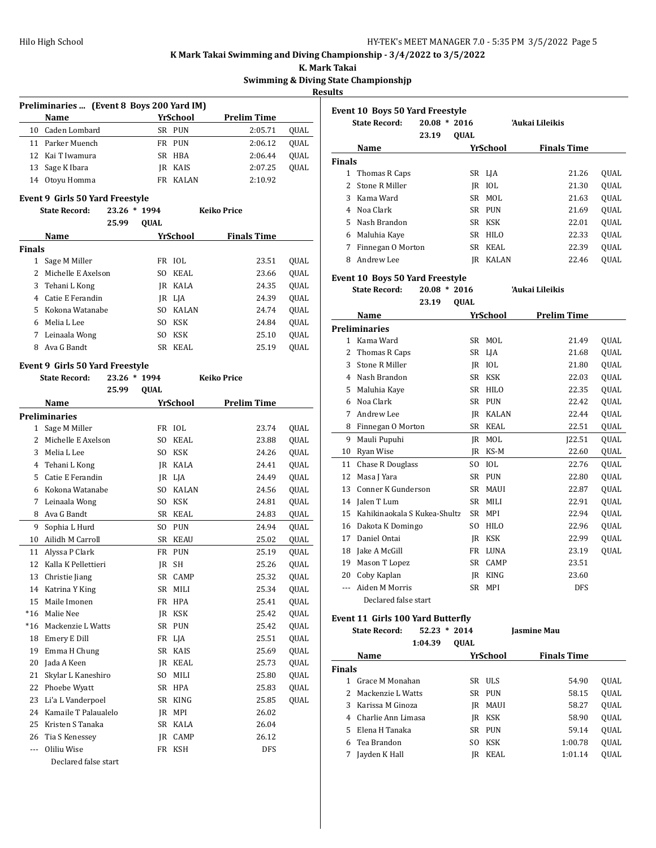**K. Mark Takai**

**Swimming & Diving State Championshjp**

**Results**

| Preliminaries  (Event 8 Boys 200 Yard IM) |                  |     |              |                    |             |  |  |  |
|-------------------------------------------|------------------|-----|--------------|--------------------|-------------|--|--|--|
|                                           | <b>Name</b>      |     | YrSchool     | <b>Prelim Time</b> |             |  |  |  |
|                                           | 10 Caden Lombard |     | SR PUN       | 2:05.71            | OUAL        |  |  |  |
|                                           | 11 Parker Muench |     | FR PUN       | 2:06.12            | OUAL        |  |  |  |
|                                           | 12 Kai T Iwamura |     | SR HBA       | 2:06.44            | <b>OUAL</b> |  |  |  |
|                                           | 13 Sage K Ibara  | IR  | KAIS         | 2:07.25            | <b>OUAL</b> |  |  |  |
|                                           | 14 Otoyu Homma   | FR. | <b>KALAN</b> | 2:10.92            |             |  |  |  |

#### **Event 9 Girls 50 Yard Freestyle**

|               | <b>State Record:</b> | 23.26 | $*1994$     |            | <b>Keiko Price</b> |             |
|---------------|----------------------|-------|-------------|------------|--------------------|-------------|
|               |                      | 25.99 | <b>OUAL</b> |            |                    |             |
|               | Name                 |       |             | YrSchool   | <b>Finals Time</b> |             |
| <b>Finals</b> |                      |       |             |            |                    |             |
| 1             | Sage M Miller        |       |             | FR IOL     | 23.51              | OUAL        |
| $\mathcal{L}$ | Michelle E Axelson   |       | SO.         | KEAL       | 23.66              | OUAL        |
| 3             | Tehani L Kong        |       | IR          | KALA       | 24.35              | <b>OUAL</b> |
| 4             | Catie E Ferandin     |       |             | IR LIA     | 24.39              | <b>OUAL</b> |
| 5.            | Kokona Watanabe      |       | SO.         | KALAN      | 24.74              | QUAL        |
| 6             | Melia L Lee          |       | SO.         | KSK        | 24.84              | <b>OUAL</b> |
| 7             | Leinaala Wong        |       | SO.         | <b>KSK</b> | 25.10              | <b>OUAL</b> |
| 8             | Ava G Bandt          |       | SR.         | KEAL       | 25.19              | <b>OUAL</b> |

## **Event 9 Girls 50 Yard Freestyle**

| <b>State Record:</b> |                      | 23.26 * 1994 |                |              | <b>Keiko Price</b> |             |
|----------------------|----------------------|--------------|----------------|--------------|--------------------|-------------|
|                      |                      | 25.99        | <b>QUAL</b>    |              |                    |             |
|                      | Name                 |              |                | YrSchool     | <b>Prelim Time</b> |             |
|                      | <b>Preliminaries</b> |              |                |              |                    |             |
| 1                    | Sage M Miller        |              | FR             | IOL          | 23.74              | QUAL        |
| $\overline{c}$       | Michelle E Axelson   |              | SO.            | KEAL         | 23.88              | QUAL        |
| 3                    | Melia L Lee          |              | SO.            | <b>KSK</b>   | 24.26              | QUAL        |
| 4                    | Tehani L Kong        |              | IR             | KALA         | 24.41              | QUAL        |
| 5                    | Catie E Ferandin     |              | IR             | LJA          | 24.49              | QUAL        |
| 6                    | Kokona Watanabe      |              | S <sub>O</sub> | <b>KALAN</b> | 24.56              | QUAL        |
| 7                    | Leinaala Wong        |              | SO.            | <b>KSK</b>   | 24.81              | QUAL        |
| 8                    | Ava G Bandt          |              | <b>SR</b>      | <b>KEAL</b>  | 24.83              | QUAL        |
| 9                    | Sophia L Hurd        |              | SO.            | <b>PUN</b>   | 24.94              | QUAL        |
| 10                   | Ailidh M Carroll     |              | <b>SR</b>      | <b>KEAU</b>  | 25.02              | QUAL        |
| 11                   | Alyssa P Clark       |              | <b>FR</b>      | <b>PUN</b>   | 25.19              | OUAL        |
| 12                   | Kalla K Pellettieri  |              | JR             | <b>SH</b>    | 25.26              | QUAL        |
| 13                   | Christie Jiang       |              | <b>SR</b>      | CAMP         | 25.32              | QUAL        |
| 14                   | Katrina Y King       |              | <b>SR</b>      | MILI         | 25.34              | QUAL        |
| 15                   | Maile Imonen         |              | FR             | <b>HPA</b>   | 25.41              | QUAL        |
| $*16$                | Malie Nee            |              | <b>IR</b>      | KSK          | 25.42              | QUAL        |
| $*16$                | Mackenzie L Watts    |              | SR             | PUN          | 25.42              | <b>OUAL</b> |
| 18                   | Emery E Dill         |              | FR             | LJA          | 25.51              | QUAL        |
| 19                   | Emma H Chung         |              | SR             | <b>KAIS</b>  | 25.69              | QUAL        |
| 20                   | Jada A Keen          |              | IR             | KEAL         | 25.73              | <b>OUAL</b> |
| 21                   | Skylar L Kaneshiro   |              | SO.            | MILI         | 25.80              | QUAL        |
| 22                   | Phoebe Wyatt         |              | SR             | <b>HPA</b>   | 25.83              | QUAL        |
| 23                   | Li'a L Vanderpoel    |              | <b>SR</b>      | <b>KING</b>  | 25.85              | QUAL        |
| 24                   | Kamaile T Palaualelo |              | JR             | MPI          | 26.02              |             |
| 25                   | Kristen S Tanaka     |              | <b>SR</b>      | <b>KALA</b>  | 26.04              |             |
| 26                   | Tia S Kenessey       |              | <b>IR</b>      | CAMP         | 26.12              |             |
| $\overline{a}$       | Oliliu Wise          |              | FR             | KSH          | <b>DFS</b>         |             |
|                      | Declared false start |              |                |              |                    |             |

| <b>Event 10 Boys 50 Yard Freestyle</b> |                                        |       |                |          |                    |             |
|----------------------------------------|----------------------------------------|-------|----------------|----------|--------------------|-------------|
|                                        | <b>State Record:</b>                   |       | $20.08 * 2016$ |          | 'Aukai Lileikis    |             |
|                                        |                                        | 23.19 | <b>OUAL</b>    |          |                    |             |
|                                        | Name                                   |       |                | YrSchool | <b>Finals Time</b> |             |
| <b>Finals</b>                          |                                        |       |                |          |                    |             |
| $\mathbf{1}$                           | Thomas R Caps                          |       |                | SR LJA   | 21.26              | <b>OUAL</b> |
| 2                                      | <b>Stone R Miller</b>                  |       | IR             | IOL      | 21.30              | <b>OUAL</b> |
| 3                                      | Kama Ward                              |       | SR             | MOL      | 21.63              | QUAL        |
| 4                                      | Noa Clark                              |       | SR             | PUN      | 21.69              | QUAL        |
| 5.                                     | Nash Brandon                           |       | SR             | KSK      | 22.01              | QUAL        |
| 6                                      | Maluhia Kaye                           |       | SR             | HILO     | 22.33              | <b>OUAL</b> |
| 7                                      | Finnegan O Morton                      |       | SR             | KEAL     | 22.39              | <b>OUAL</b> |
| 8                                      | Andrew Lee                             |       | IR             | KALAN    | 22.46              | <b>OUAL</b> |
|                                        | <b>Event 10 Boys 50 Yard Freestyle</b> |       |                |          |                    |             |
|                                        | <b>State Record:</b>                   |       | $20.08 * 2016$ |          | 'Aukai Lileikis    |             |
|                                        |                                        | 23.19 | <b>OUAL</b>    |          |                    |             |
|                                        | Name                                   |       |                | YrSchool | <b>Prelim Time</b> |             |
|                                        | <b>Preliminaries</b>                   |       |                |          |                    |             |
| 1.                                     | Kama Ward                              |       | SR.            | MOL      | 21.49              | <b>OUAL</b> |
| 2                                      | Thomas R Caps                          |       | SR             | LJA      | 21.68              | QUAL        |
| 3                                      | <b>Stone R Miller</b>                  |       | IR             | IOL      | 21.80              | <b>OUAL</b> |
| 4                                      | Nash Brandon                           |       | SR.            | KSK      | 22.03              | <b>OUAL</b> |
| 5                                      | Maluhia Kaye                           |       | SR             | HILO     | 22.35              | QUAL        |
| 6                                      | Noa Clark                              |       | SR             | PUN      | 22.42              | QUAL        |
| 7                                      | Andrew Lee                             |       | IR             | KALAN    | 22.44              | <b>OUAL</b> |

| 8  | Finnegan O Morton            |    | SR KEAL     | 22.51      | <b>OUAL</b> |
|----|------------------------------|----|-------------|------------|-------------|
| 9  | Mauli Pupuhi                 | IR | MOL         | 122.51     | <b>OUAL</b> |
| 10 | Ryan Wise                    | IR | KS-M        | 22.60      | QUAL        |
| 11 | <b>Chase R Douglass</b>      |    | SO IOL      | 22.76      | <b>OUAL</b> |
| 12 | Masa J Yara                  |    | SR PUN      | 22.80      | <b>OUAL</b> |
| 13 | Conner K Gunderson           |    | SR MAUI     | 22.87      | <b>OUAL</b> |
|    | 14 Jalen T Lum               |    | SR MILI     | 22.91      | QUAL        |
| 15 | Kahikinaokala S Kukea-Shultz |    | SR MPI      | 22.94      | <b>OUAL</b> |
|    | 16 Dakota K Domingo          | SO | HILO        | 22.96      | <b>OUAL</b> |
| 17 | Daniel Ontai                 | IR | KSK         | 22.99      | <b>OUAL</b> |
|    | 18 Jake A McGill             |    | FR LUNA     | 23.19      | <b>OUAL</b> |
| 19 | Mason T Lopez                |    | SR CAMP     | 23.51      |             |
| 20 | Coby Kaplan                  | IR | <b>KING</b> | 23.60      |             |
|    | Aiden M Morris               |    | SR MPI      | <b>DFS</b> |             |
|    | Declared false start         |    |             |            |             |
|    |                              |    |             |            |             |

# **Event 11 Girls 100 Yard Butterfly**

**State Record: 52.23 \* 2014 Jasmine Mau 1:04.39 QUAL**

| Name                 |     | YrSchool       | <b>Finals Time</b> |             |  |  |
|----------------------|-----|----------------|--------------------|-------------|--|--|
| <b>Finals</b>        |     |                |                    |             |  |  |
| 1 Grace M Monahan    |     | SR ULS         | 54.90              | OUAL        |  |  |
| 2 Mackenzie L Watts  |     | SR PUN         | 58.15              | <b>OUAL</b> |  |  |
| 3 Karissa M Ginoza   |     | <b>IR MAUI</b> | 58.27              | <b>OUAL</b> |  |  |
| 4 Charlie Ann Limasa |     | JR KSK         | 58.90              | <b>OUAL</b> |  |  |
| 5 Elena H Tanaka     |     | SR PUN         | 59.14              | <b>OUAL</b> |  |  |
| 6 Tea Brandon        | SO. | KSK            | 1:00.78            | <b>OUAL</b> |  |  |
| Jayden K Hall        | IR  | KEAL           | 1:01.14            | <b>OUAL</b> |  |  |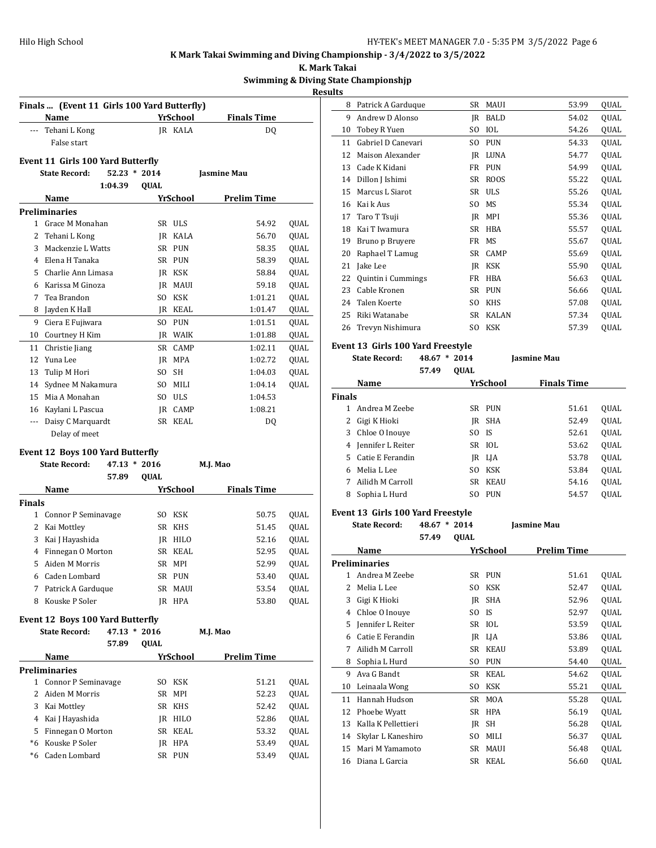**K. Mark Takai**

#### **Swimming & Diving State Championshjp**

**Results**  $\overline{a}$ 

|               | Name                                         |                | <b>YrSchool</b> |                    | <b>Finals Time</b> |                                                              |
|---------------|----------------------------------------------|----------------|-----------------|--------------------|--------------------|--------------------------------------------------------------|
|               | --- Tehani L Kong                            |                | JR KALA         |                    | DQ                 |                                                              |
|               | False start                                  |                |                 |                    |                    |                                                              |
|               | Event 11 Girls 100 Yard Butterfly            |                |                 |                    |                    |                                                              |
|               | <b>State Record:</b>                         | $52.23 * 2014$ |                 | <b>Jasmine Mau</b> |                    |                                                              |
|               | 1:04.39                                      | QUAL           |                 |                    |                    |                                                              |
|               | Name                                         |                | YrSchool        |                    | <b>Prelim Time</b> |                                                              |
|               | <b>Preliminaries</b>                         |                |                 |                    |                    |                                                              |
|               | 1 Grace M Monahan                            |                | SR ULS          |                    | 54.92              | QUAL                                                         |
|               | 2 Tehani L Kong                              |                | <b>IR KALA</b>  |                    | 56.70              | QUAL                                                         |
|               | 3 Mackenzie L Watts                          |                | SR PUN          |                    | 58.35              | QUAL                                                         |
|               | 4 Elena H Tanaka                             |                | SR PUN          |                    | 58.39              | QUAL                                                         |
|               | 5 Charlie Ann Limasa                         |                | IR KSK          |                    | 58.84              | QUAL                                                         |
|               | 6 Karissa M Ginoza                           |                | JR MAUI         |                    | 59.18              | QUAL                                                         |
|               | 7 Tea Brandon                                |                | SO KSK          |                    | 1:01.21            | QUAL                                                         |
|               | 8 Jayden K Hall                              |                | JR KEAL         |                    | 1:01.47            | QUAL                                                         |
| 9             | Ciera E Fujiwara                             |                | SO PUN          |                    | 1:01.51            | QUAL                                                         |
|               | 10 Courtney H Kim                            |                | JR WAIK         |                    | 1:01.88            | QUAL                                                         |
| 11            | Christie Jiang                               |                | SR CAMP         |                    | 1:02.11            | QUAL                                                         |
| 12            | Yuna Lee                                     |                | JR MPA          |                    | 1:02.72            | QUAL                                                         |
| 13            | Tulip M Hori                                 | SO.            | <b>SH</b>       |                    | 1:04.03            | QUAL                                                         |
| 14            | Sydnee M Nakamura                            |                | SO MILI         |                    | 1:04.14            | QUAL                                                         |
|               | 15 Mia A Monahan                             |                | SO ULS          |                    | 1:04.53            |                                                              |
|               |                                              |                |                 |                    |                    |                                                              |
|               |                                              |                | IR CAMP         |                    | 1:08.21            |                                                              |
|               | 16 Kaylani L Pascua<br>--- Daisy C Marquardt |                | SR KEAL         |                    | DQ                 |                                                              |
|               | Delay of meet                                |                |                 |                    |                    |                                                              |
|               |                                              |                |                 |                    |                    |                                                              |
|               | <b>Event 12 Boys 100 Yard Butterfly</b>      |                |                 |                    |                    |                                                              |
|               | <b>State Record:</b>                         | $47.13 * 2016$ |                 | M.J. Mao           |                    |                                                              |
|               | 57.89                                        | QUAL           |                 |                    |                    |                                                              |
|               | Name                                         |                | YrSchool        |                    | <b>Finals Time</b> |                                                              |
| <b>Finals</b> |                                              |                |                 |                    |                    |                                                              |
|               | 1 Connor P Seminavage                        |                | SO KSK          |                    | 50.75              |                                                              |
|               | 2 Kai Mottley                                |                | SR KHS          |                    | 51.45              |                                                              |
|               | 3 Kai J Hayashida                            |                | JR HILO         |                    | 52.16              |                                                              |
|               | 4 Finnegan O Morton                          |                | SR KEAL         |                    | 52.95              |                                                              |
| 5             | Aiden M Morris                               |                | SR MPI          |                    | 52.99              |                                                              |
|               | 6 Caden Lombard                              |                | SR PUN          |                    | 53.40              |                                                              |
| 7             | Patrick A Garduque                           | SR             | MAUI            |                    | 53.54              |                                                              |
| 8             | Kouske P Soler                               |                | JR HPA          |                    | 53.80              |                                                              |
|               | Event 12 Boys 100 Yard Butterfly             |                |                 |                    |                    |                                                              |
|               | <b>State Record:</b>                         | $47.13 * 2016$ |                 | M.J. Mao           |                    |                                                              |
|               | 57.89                                        | QUAL           |                 |                    |                    | QUAL<br>QUAL<br>QUAL<br>QUAL<br>QUAL<br>QUAL<br>QUAL<br>QUAL |
|               | Name                                         |                | <b>YrSchool</b> |                    | <b>Prelim Time</b> |                                                              |
|               | <b>Preliminaries</b>                         |                |                 |                    |                    |                                                              |
| 1             | Connor P Seminavage                          |                | SO KSK          |                    | 51.21              |                                                              |
| 2             | Aiden M Morris                               | SR             | MPI             |                    | 52.23              |                                                              |
|               | 3 Kai Mottley                                | SR             | <b>KHS</b>      |                    | 52.42              |                                                              |
|               | 4 Kai J Hayashida                            |                | JR HILO         |                    | 52.86              |                                                              |
| 5             | Finnegan O Morton                            |                | SR KEAL         |                    | 53.32              |                                                              |
|               | *6 Kouske P Soler                            |                | JR HPA          |                    | 53.49              | QUAL<br>QUAL<br>QUAL<br>QUAL<br>QUAL<br>QUAL                 |

| 8  | Patrick A Garduque | SR  | MAUI         | 53.99 | QUAL        |
|----|--------------------|-----|--------------|-------|-------------|
| 9  | Andrew D Alonso    | IR  | BALD         | 54.02 | QUAL        |
| 10 | Tobey R Yuen       | SO. | IOL          | 54.26 | QUAL        |
| 11 | Gabriel D Canevari | SO. | <b>PUN</b>   | 54.33 | QUAL        |
| 12 | Maison Alexander   | IR  | <b>LUNA</b>  | 54.77 | <b>OUAL</b> |
| 13 | Cade K Kidani      | FR  | <b>PUN</b>   | 54.99 | <b>OUAL</b> |
| 14 | Dillon J Ishimi    | SR  | ROOS         | 55.22 | <b>OUAL</b> |
| 15 | Marcus L Siarot    | SR  | <b>ULS</b>   | 55.26 | QUAL        |
| 16 | Kai k Aus          | SO. | MS           | 55.34 | QUAL        |
| 17 | Taro T Tsuji       | IR  | MPI          | 55.36 | QUAL        |
| 18 | Kai T Iwamura      | SR  | <b>HBA</b>   | 55.57 | QUAL        |
| 19 | Bruno p Bruyere    | FR  | MS           | 55.67 | QUAL        |
| 20 | Raphael T Lamug    | SR  | CAMP         | 55.69 | QUAL        |
| 21 | Jake Lee           | IR  | <b>KSK</b>   | 55.90 | QUAL        |
| 22 | Quintin i Cummings | FR  | <b>HBA</b>   | 56.63 | QUAL        |
| 23 | Cable Kronen       | SR  | <b>PUN</b>   | 56.66 | QUAL        |
| 24 | Talen Koerte       | SO. | KHS          | 57.08 | QUAL        |
| 25 | Riki Watanabe      | SR  | <b>KALAN</b> | 57.34 | QUAL        |
| 26 | Trevyn Nishimura   | SO. | KSK          | 57.39 | QUAL        |
|    |                    |     |              |       |             |

#### **Event 13 Girls 100 Yard Freestyle**

**State Record: 48.67 \* 2014 Jasmine Mau**

|               |                    | 57.49 | <b>OUAL</b> |             |                    |             |
|---------------|--------------------|-------|-------------|-------------|--------------------|-------------|
|               | Name               |       |             | YrSchool    | <b>Finals Time</b> |             |
| <b>Finals</b> |                    |       |             |             |                    |             |
|               | Andrea M Zeebe     |       |             | SR PUN      | 51.61              | <b>OUAL</b> |
|               | Gigi K Hioki       |       | IR          | SHA         | 52.49              | <b>OUAL</b> |
|               | 3 Chloe O Inouye   |       | SO.         | - IS        | 52.61              | <b>OUAL</b> |
| 4             | Jennifer L Reiter  |       |             | SR IOL      | 53.62              | <b>OUAL</b> |
|               | 5 Catie E Ferandin |       |             | IR LIA      | 53.78              | <b>OUAL</b> |
| 6             | Melia L Lee        |       | SO.         | <b>KSK</b>  | 53.84              | <b>OUAL</b> |
|               | Ailidh M Carroll   |       | SR.         | <b>KEAU</b> | 54.16              | <b>OUAL</b> |
| 8             | Sophia L Hurd      |       | SO.         | <b>PUN</b>  | 54.57              | <b>OUAL</b> |
|               |                    |       |             |             |                    |             |

#### **Event 13 Girls 100 Yard Freestyle**

**State Record: 48.67 \* 2014 Jasmine Mau 57.49 QUAL Name Yr School Prelim Time Preliminaries** 1 Andrea M Zeebe SR PUN 51.61 QUAL 2 Melia L Lee SO KSK 52.47 QUAL 3 Gigi K Hioki JR SHA 52.96 QUAL 4 Chloe O Inouye SO IS 52.97 QUAL 5 Jennifer L Reiter SR IOL 53.59 QUAL 6 Catie E Ferandin JR LJA 53.86 QUAL 7 Ailidh M Carroll SR KEAU 53.89 QUAL 8 Sophia L Hurd SO PUN 54.40 QUAL 9 Ava G Bandt SR KEAL 54.62 QUAL 10 Leinaala Wong SO KSK 55.21 QUAL 11 Hannah Hudson SR MOA 55.28 QUAL 12 Phoebe Wyatt SR HPA 56.19 QUAL 13 Kalla K Pellettieri JR SH 56.28 QUAL 14 Skylar L Kaneshiro SO MILI 56.37 QUAL 15 Mari M Yamamoto SR MAUI 56.48 QUAL 16 Diana L Garcia SR KEAL 56.60 QUAL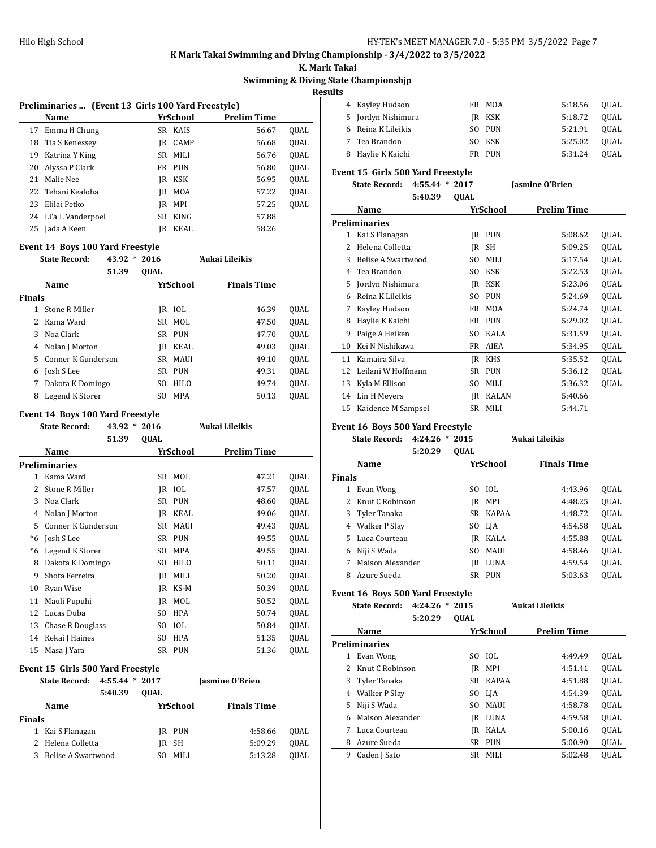**K. Mark Takai**

#### **State Championshjp**

**Results**

|               |                                                            |                |             |                 | <b>Swimming &amp; Diving</b> |      |
|---------------|------------------------------------------------------------|----------------|-------------|-----------------|------------------------------|------|
|               |                                                            |                |             |                 |                              |      |
|               | Preliminaries  (Event 13 Girls 100 Yard Freestyle)<br>Name |                |             | <b>YrSchool</b> | <b>Prelim Time</b>           |      |
| 17            | Emma H Chung                                               |                |             | SR KAIS         | 56.67                        | QUAL |
| 18            | Tia S Kenessey                                             |                |             | JR CAMP         | 56.68                        | QUAL |
| 19            | Katrina Y King                                             |                | SR          | MILI            | 56.76                        | QUAL |
| 20            | Alyssa P Clark                                             |                |             | FR PUN          | 56.80                        | QUAL |
| 21            | Malie Nee                                                  |                |             | JR KSK          | 56.95                        | QUAL |
| 22            | Tehani Kealoha                                             |                | JR.         | MOA             | 57.22                        | QUAL |
| 23            | Elilai Petko                                               |                | JR          | MPI             | 57.25                        | QUAL |
|               | 24 Li'a L Vanderpoel                                       |                |             | SR KING         | 57.88                        |      |
|               | 25 Jada A Keen                                             |                |             | IR KEAL         | 58.26                        |      |
|               |                                                            |                |             |                 |                              |      |
|               | <b>Event 14 Boys 100 Yard Freestyle</b>                    |                |             |                 |                              |      |
|               | <b>State Record:</b>                                       | 43.92 * 2016   |             |                 | 'Aukai Lileikis              |      |
|               |                                                            | 51.39          | QUAL        |                 |                              |      |
|               | Name                                                       |                |             | YrSchool        | <b>Finals Time</b>           |      |
| <b>Finals</b> |                                                            |                |             |                 |                              |      |
|               | 1 Stone R Miller                                           |                |             | JR IOL          | 46.39                        | QUAL |
| 2             | Kama Ward                                                  |                | SR          | MOL             | 47.50                        | QUAL |
| 3             | Noa Clark                                                  |                |             | SR PUN          | 47.70                        | QUAL |
|               | 4 Nolan J Morton                                           |                |             | JR KEAL         | 49.03                        | QUAL |
|               | 5 Conner K Gunderson                                       |                | SR          | <b>MAUI</b>     | 49.10                        | QUAL |
|               | 6 Josh S Lee                                               |                |             | SR PUN          | 49.31                        | QUAL |
| 7             | Dakota K Domingo                                           |                | SO          | HILO            | 49.74                        | QUAL |
| 8             | Legend K Storer                                            |                | SO.         | <b>MPA</b>      | 50.13                        | QUAL |
|               | <b>Event 14 Boys 100 Yard Freestyle</b>                    |                |             |                 |                              |      |
|               | <b>State Record:</b>                                       | 43.92 * 2016   |             |                 | 'Aukai Lileikis              |      |
|               |                                                            | 51.39          | QUAL        |                 |                              |      |
|               | Name                                                       |                |             | YrSchool        | <b>Prelim Time</b>           |      |
|               | <b>Preliminaries</b>                                       |                |             |                 |                              |      |
|               | 1 Kama Ward                                                |                | SR          | MOL             | 47.21                        | QUAL |
| 2             | Stone R Miller                                             |                | JR          | IOL             | 47.57                        | QUAL |
| 3             | Noa Clark                                                  |                | SR          | <b>PUN</b>      | 48.60                        | QUAL |
| 4             | Nolan J Morton                                             |                |             | JR KEAL         | 49.06                        | QUAL |
| 5             | Conner K Gunderson                                         |                | SR          | <b>MAUI</b>     | 49.43                        | QUAL |
| $*6$          | Josh S Lee                                                 |                | SR          | <b>PUN</b>      | 49.55                        | QUAL |
| $*6$          | Legend K Storer                                            |                | SO.         | MPA             | 49.55                        | QUAL |
| 8             | Dakota K Domingo                                           |                | SO.         | HILO            | 50.11                        | QUAL |
| 9             | Shota Ferreira                                             |                | JR          | MILI            | 50.20                        | QUAL |
| 10            | Ryan Wise                                                  |                | JR          | KS-M            | 50.39                        | QUAL |
| 11            | Mauli Pupuhi                                               |                | JR          | MOL             | 50.52                        | QUAL |
| 12            | Lucas Duba                                                 |                | SO          | <b>HPA</b>      | 50.74                        | QUAL |
| 13            | Chase R Douglass                                           |                | SO          | IOL             | 50.84                        | QUAL |
| 14            | Kekai J Haines                                             |                | SO          | HPA             | 51.35                        | QUAL |
| 15            | Masa J Yara                                                |                | SR          | <b>PUN</b>      | 51.36                        | QUAL |
|               |                                                            |                |             |                 |                              |      |
|               | Event 15 Girls 500 Yard Freestyle                          |                |             |                 |                              |      |
|               | <b>State Record:</b>                                       | 4:55.44 * 2017 |             |                 | Jasmine O'Brien              |      |
|               |                                                            | 5:40.39        | <b>QUAL</b> |                 |                              |      |
|               | Name                                                       |                |             | <b>YrSchool</b> | <b>Finals Time</b>           |      |
| Finals        |                                                            |                |             |                 |                              |      |
| 1             | Kai S Flanagan                                             |                |             | JR PUN          | 4:58.66                      | QUAL |
| 2             | Helena Colletta                                            |                | JR          | <b>SH</b>       | 5:09.29                      | QUAL |
| 3             | Belise A Swartwood                                         |                | SO.         | MILI            | 5:13.28                      | QUAL |

| 4  | Kayley Hudson                       | FR.         | <b>MOA</b> | 5:18.56                | QUAL        |
|----|-------------------------------------|-------------|------------|------------------------|-------------|
| 5  | Jordyn Nishimura                    | IR          | <b>KSK</b> | 5:18.72                | <b>OUAL</b> |
| 6  | Reina K Lileikis                    | SO.         | <b>PUN</b> | 5:21.91                | QUAL        |
| 7  | Tea Brandon                         | SO.         | <b>KSK</b> | 5:25.02                | QUAL        |
| 8  | Haylie K Kaichi                     | FR          | <b>PUN</b> | 5:31.24                | QUAL        |
|    | Event 15 Girls 500 Yard Freestyle   |             |            |                        |             |
|    | <b>State Record:</b><br>$4:55.44$ * | 2017        |            | <b>Jasmine O'Brien</b> |             |
|    | 5:40.39                             | <b>OUAL</b> |            |                        |             |
|    | Name                                |             | YrSchool   | <b>Prelim Time</b>     |             |
|    | <b>Preliminaries</b>                |             |            |                        |             |
| 1  | Kai S Flanagan                      | IR          | <b>PUN</b> | 5:08.62                | QUAL        |
| 2  | Helena Colletta                     | IR          | SH         | 5:09.25                | QUAL        |
| 3  | Belise A Swartwood                  | SO.         | MILI       | 5:17.54                | QUAL        |
| 4  | Tea Brandon                         | SO.         | <b>KSK</b> | 5:22.53                | QUAL        |
| 5  | Jordyn Nishimura                    | IR          | <b>KSK</b> | 5:23.06                | QUAL        |
| 6  | Reina K Lileikis                    | SO.         | <b>PUN</b> | 5:24.69                | QUAL        |
| 7  | Kayley Hudson                       | FR          | <b>MOA</b> | 5:24.74                | QUAL        |
| 8  | Haylie K Kaichi                     | FR.         | <b>PUN</b> | 5:29.02                | QUAL        |
| 9  | Paige A Heiken                      | SO.         | KALA       | 5:31.59                | <b>OUAL</b> |
| 10 | Kei N Nishikawa                     | FR          | AIEA       | 5:34.95                | QUAL        |

11 Kamaira Silva JR KHS 5:35.52 QUAL Leilani W Hoffmann SR PUN 5:36.12 QUAL 13 Kyla M Ellison SO MILI 5:36.32 QUAL 14 Lin H Meyers JR KALAN 5:40.66 15 Kaidence M Sampsel SR MILI 5:44.71

#### **Event 16 Boys 500 Yard Freestyle**

**State Record: 4:24.26 \* 2015 'Aukai Lileikis 5:20.29 QUAL**

|               | YrSchool<br>Name  |     |             | <b>Finals Time</b> |             |
|---------------|-------------------|-----|-------------|--------------------|-------------|
| <b>Finals</b> |                   |     |             |                    |             |
| 1             | Evan Wong         | SO. | TOL.        | 4:43.96            | QUAL        |
|               | 2 Knut C Robinson | IR  | MPI         | 4:48.25            | <b>OUAL</b> |
|               | 3 Tyler Tanaka    | SR. | KAPAA       | 4:48.72            | <b>OUAL</b> |
| 4             | Walker P Slay     | SO. | LJA         | 4:54.58            | <b>OUAL</b> |
|               | 5 Luca Courteau   | IR  | KALA        | 4:55.88            | <b>OUAL</b> |
| 6             | Niji S Wada       | SO. | <b>MAUI</b> | 4:58.46            | <b>OUAL</b> |
| 7             | Maison Alexander  | IR  | LUNA        | 4:59.54            | <b>OUAL</b> |
| 8             | Azure Sueda       | SR. | <b>PUN</b>  | 5:03.63            | <b>OUAL</b> |

## **Event 16 Boys 500 Yard Freestyle**

**State Record: 4:24.26 \* 2015 'Aukai Lileikis 5:20.29 QUAL**

|    | Name                 |     | YrSchool     | <b>Prelim Time</b> |             |
|----|----------------------|-----|--------------|--------------------|-------------|
|    | <b>Preliminaries</b> |     |              |                    |             |
| 1  | Evan Wong            | SO. | - 10L        | 4:49.49            | OUAL        |
|    | 2 Knut C Robinson    | IR  | MPI          | 4:51.41            | <b>OUAL</b> |
|    | 3 Tyler Tanaka       | SR. | <b>KAPAA</b> | 4:51.88            | <b>OUAL</b> |
| 4  | Walker P Slav        |     | SO LJA       | 4:54.39            | <b>OUAL</b> |
| 5. | Niji S Wada          | SO. | <b>MAUI</b>  | 4:58.78            | <b>OUAL</b> |
| 6  | Maison Alexander     | IR  | LUNA         | 4:59.58            | <b>OUAL</b> |
| 7  | Luca Courteau        | IR  | KALA         | 5:00.16            | <b>OUAL</b> |
| 8  | Azure Sueda          | SR  | <b>PUN</b>   | 5:00.90            | <b>OUAL</b> |
| 9  | Caden J Sato         | SR  | <b>MILI</b>  | 5:02.48            | <b>OUAL</b> |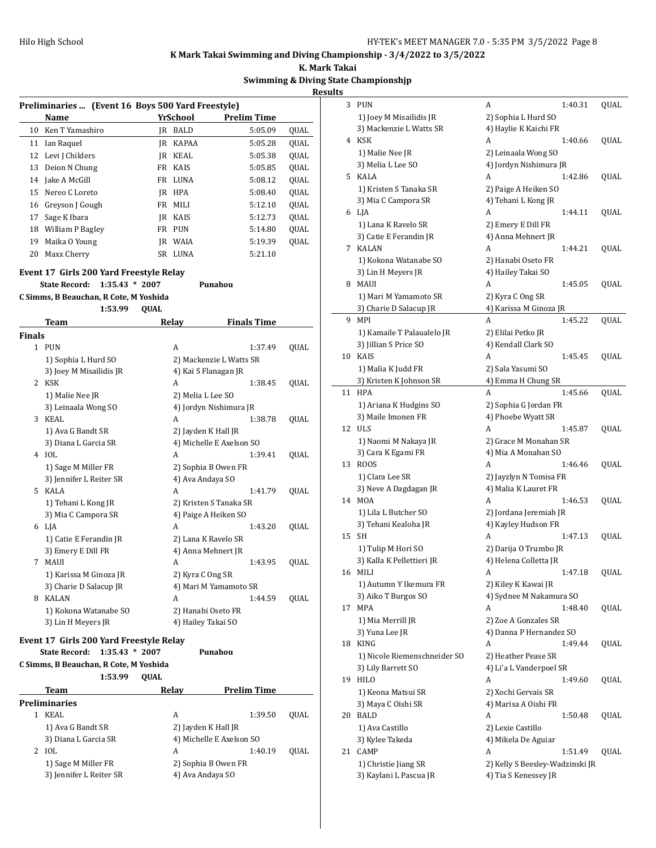**K. Mark Takai**

## **Swimming & Diving State Championshjp**

**Results**

|               | Preliminaries  (Event 16 Boys 500 Yard Freestyle) |             |                      |                          |      |
|---------------|---------------------------------------------------|-------------|----------------------|--------------------------|------|
|               | Name                                              |             | <u>YrSchool</u>      | <b>Prelim Time</b>       |      |
| 10            | Ken T Yamashiro                                   |             | JR BALD              | 5:05.09                  | QUAL |
| 11            | Ian Raquel                                        |             | <b>IR KAPAA</b>      | 5:05.28                  | QUAL |
|               | 12 Levi J Childers                                |             | JR KEAL              | 5:05.38                  | QUAL |
|               | 13 Deion N Chung                                  |             | FR KAIS              | 5:05.85                  | QUAL |
|               | 14 Jake A McGill                                  |             | FR LUNA              | 5:08.12                  | QUAL |
|               | 15 Nereo C Loreto                                 |             | JR HPA               | 5:08.40                  | QUAL |
|               | 16 Greyson J Gough                                |             | FR MILI              | 5:12.10                  | QUAL |
|               | 17 Sage K Ibara                                   |             | JR KAIS              | 5:12.73                  | QUAL |
|               | 18 William P Bagley                               |             | FR PUN               | 5:14.80                  | QUAL |
|               | 19 Maika O Young                                  |             | JR WAIA              | 5:19.39                  | QUAL |
| 20            | Maxx Cherry                                       |             | SR LUNA              | 5:21.10                  |      |
|               |                                                   |             |                      |                          |      |
|               | Event 17 Girls 200 Yard Freestyle Relay           |             |                      |                          |      |
|               | <b>State Record:</b><br>$1:35.43 * 2007$          |             |                      | Punahou                  |      |
|               | C Simms, B Beauchan, R Cote, M Yoshida            |             |                      |                          |      |
|               | 1:53.99                                           | <b>QUAL</b> |                      |                          |      |
|               | <b>Team</b>                                       |             | Relay                | <b>Finals Time</b>       |      |
| <b>Finals</b> |                                                   |             |                      |                          |      |
|               | 1 PUN                                             |             | A                    | 1:37.49                  | QUAL |
|               | 1) Sophia L Hurd SO                               |             |                      | 2) Mackenzie L Watts SR  |      |
|               | 3) Joey M Misailidis JR                           |             | 4) Kai S Flanagan JR |                          |      |
|               | 2 KSK                                             |             | A                    | 1:38.45                  | QUAL |
|               | 1) Malie Nee JR                                   |             | 2) Melia L Lee SO    |                          |      |
|               | 3) Leinaala Wong SO                               |             |                      | 4) Jordyn Nishimura JR   |      |
|               | 3 KEAL                                            |             | A                    | 1:38.78                  | QUAL |
|               | 1) Ava G Bandt SR                                 |             | 2) Jayden K Hall JR  |                          |      |
|               | 3) Diana L Garcia SR                              |             |                      | 4) Michelle E Axelson SO |      |
|               | 4 IOL                                             |             | A                    | 1:39.41                  | QUAL |
|               | 1) Sage M Miller FR                               |             |                      | 2) Sophia B Owen FR      |      |
|               | 3) Jennifer L Reiter SR                           |             | 4) Ava Andaya SO     |                          |      |
|               | 5 KALA                                            |             | A                    | 1:41.79                  | QUAL |
|               | 1) Tehani L Kong JR                               |             |                      | 2) Kristen S Tanaka SR   |      |
|               | 3) Mia C Campora SR                               |             | 4) Paige A Heiken SO |                          |      |
|               | 6 LJA                                             |             | A                    | 1:43.20                  | QUAL |
|               | 1) Catie E Ferandin JR                            |             | 2) Lana K Ravelo SR  |                          |      |
|               | 3) Emery E Dill FR                                |             | 4) Anna Mehnert JR   |                          |      |
| 7             | MAUI                                              |             | А                    | 1:43.95                  | QUAL |
|               | 1) Karissa M Ginoza JR                            |             | 2) Kyra C Ong SR     |                          |      |
|               | 3) Charie D Salacup JR                            |             |                      | 4) Mari M Yamamoto SR    |      |
|               | 8 KALAN                                           |             | A                    | 1:44.59                  | QUAL |
|               | 1) Kokona Watanabe SO                             |             | 2) Hanabi Oseto FR   |                          |      |
|               | 3) Lin H Meyers JR                                |             | 4) Hailey Takai SO   |                          |      |
|               |                                                   |             |                      |                          |      |
|               | Event 17 Girls 200 Yard Freestyle Relay           |             |                      |                          |      |
|               | $1:35.43 * 2007$<br><b>State Record:</b>          |             |                      | Punahou                  |      |
|               | C Simms, B Beauchan, R Cote, M Yoshida            |             |                      |                          |      |
|               | 1:53.99                                           | QUAL        |                      |                          |      |
|               | <b>Team</b>                                       |             | Relay                | <b>Prelim Time</b>       |      |
|               | <b>Preliminaries</b>                              |             |                      |                          |      |
|               | 1 KEAL                                            |             | A                    | 1:39.50                  | QUAL |
|               | 1) Ava G Bandt SR                                 |             | 2) Jayden K Hall JR  |                          |      |
|               | 3) Diana L Garcia SR                              |             |                      | 4) Michelle E Axelson SO |      |
|               | 2 IOL                                             |             | A                    | 1:40.19                  | QUAL |
|               | 1) Sage M Miller FR                               |             |                      | 2) Sophia B Owen FR      |      |
|               |                                                   |             |                      |                          |      |

| 3  | PUN                                          | А<br>1:40.31                                  | QUAL |
|----|----------------------------------------------|-----------------------------------------------|------|
|    | 1) Joey M Misailidis JR                      | 2) Sophia L Hurd SO                           |      |
|    | 3) Mackenzie L Watts SR                      | 4) Haylie K Kaichi FR                         |      |
| 4  | KSK                                          | A<br>1:40.66                                  | QUAL |
|    | 1) Malie Nee JR                              | 2) Leinaala Wong SO                           |      |
|    | 3) Melia L Lee SO                            | 4) Jordyn Nishimura JR                        |      |
| 5  | KALA                                         | A<br>1:42.86                                  | QUAL |
|    | 1) Kristen S Tanaka SR                       | 2) Paige A Heiken SO                          |      |
|    | 3) Mia C Campora SR                          | 4) Tehani L Kong JR                           |      |
|    | 6 LJA                                        | A<br>1:44.11                                  | QUAL |
|    | 1) Lana K Ravelo SR                          | 2) Emery E Dill FR                            |      |
|    | 3) Catie E Ferandin JR                       | 4) Anna Mehnert JR                            |      |
| 7  | KALAN                                        | 1:44.21<br>A                                  | QUAL |
|    | 1) Kokona Watanabe SO                        | 2) Hanabi Oseto FR                            |      |
|    | 3) Lin H Meyers JR                           | 4) Hailey Takai SO                            |      |
| 8  | MAUI                                         | А<br>1:45.05                                  | QUAL |
|    | 1) Mari M Yamamoto SR                        | 2) Kyra C Ong SR                              |      |
|    | 3) Charie D Salacup JR                       | 4) Karissa M Ginoza JR                        |      |
| 9  | MPI                                          | 1:45.22<br>A                                  | QUAL |
|    | 1) Kamaile T Palaualelo JR                   | 2) Elilai Petko JR                            |      |
|    | 3) Jillian S Price SO                        | 4) Kendall Clark SO                           |      |
| 10 | <b>KAIS</b>                                  | 1:45.45<br>A                                  | QUAL |
|    | 1) Malia K Judd FR                           | 2) Sala Yasumi SO                             |      |
|    | 3) Kristen K Johnson SR                      | 4) Emma H Chung SR                            |      |
| 11 | <b>HPA</b>                                   | 1:45.66<br>A                                  | QUAL |
|    | 1) Ariana K Hudgins SO                       | 2) Sophia G Jordan FR                         |      |
|    | 3) Maile Imonen FR                           | 4) Phoebe Wyatt SR                            |      |
| 12 | <b>ULS</b>                                   | A<br>1:45.87                                  | QUAL |
|    | 1) Naomi M Nakaya JR                         | 2) Grace M Monahan SR                         |      |
|    | 3) Cara K Egami FR                           | 4) Mia A Monahan SO                           |      |
| 13 | ROOS                                         | A<br>1:46.46                                  | QUAL |
|    | 1) Clara Lee SR                              | 2) Jayzlyn N Tomisa FR                        |      |
| 14 | 3) Neve A Dagdagan JR<br>MOA                 | 4) Malia K Lauret FR<br>A<br>1:46.53          | QUAL |
|    |                                              |                                               |      |
|    | 1) Lila L Butcher SO<br>3) Tehani Kealoha JR | 2) Jordana Jeremiah JR<br>4) Kayley Hudson FR |      |
| 15 | SН                                           | A<br>1:47.13                                  | QUAL |
|    | 1) Tulip M Hori SO                           | 2) Darija O Trumbo JR                         |      |
|    | 3) Kalla K Pellettieri JR                    | 4) Helena Colletta JR                         |      |
|    | 16 MILI                                      | 1:47.18<br>A                                  | QUAL |
|    | 1) Autumn Y Ikemura FR                       | 2) Kiley K Kawai JR                           |      |
|    | 3) Aiko T Burgos SO                          | 4) Sydnee M Nakamura SO                       |      |
| 17 | MPA                                          | A<br>1:48.40                                  | QUAL |
|    | 1) Mia Merrill JR                            | 2) Zoe A Gonzales SR                          |      |
|    | 3) Yuna Lee JR                               | 4) Danna P Hernandez SO                       |      |
| 18 | <b>KING</b>                                  | A<br>1:49.44                                  | QUAL |
|    | 1) Nicole Riemenschneider SO                 | 2) Heather Pease SR                           |      |
|    | 3) Lily Barrett SO                           | 4) Li'a L Vanderpoel SR                       |      |
| 19 | <b>HILO</b>                                  | А<br>1:49.60                                  | QUAL |
|    | 1) Keona Matsui SR                           | 2) Xochi Gervais SR                           |      |
|    | 3) Maya C Oishi SR                           | 4) Marisa A Oishi FR                          |      |
| 20 | BALD                                         | A<br>1:50.48                                  | QUAL |
|    | 1) Ava Castillo                              | 2) Lexie Castillo                             |      |
|    | 3) Kylee Takeda                              | 4) Mikela De Aguiar                           |      |
| 21 | CAMP                                         | А<br>1:51.49                                  | QUAL |
|    | 1) Christie Jiang SR                         | 2) Kelly S Beesley-Wadzinski JR               |      |
|    | 3) Kaylani L Pascua JR                       | 4) Tia S Kenessey JR                          |      |
|    |                                              |                                               |      |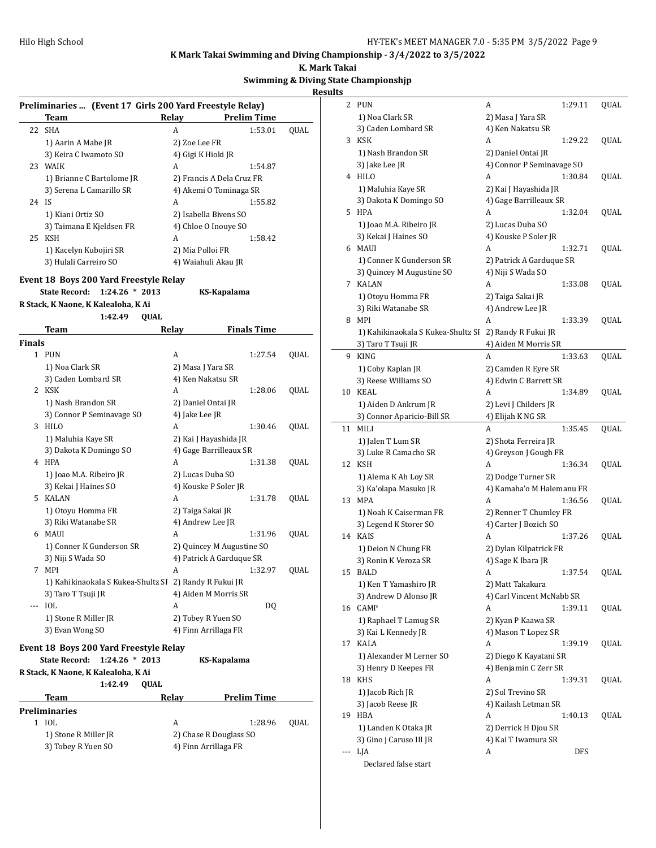**K. Mark Takai**

## **Swimming & Diving State Championshjp Results**

| Preliminaries  (Event 17 Girls 200 Yard Freestyle Relay) |                                                        |                           |                    |      |  |  |  |
|----------------------------------------------------------|--------------------------------------------------------|---------------------------|--------------------|------|--|--|--|
|                                                          | Team                                                   | Relay                     | <b>Prelim Time</b> |      |  |  |  |
| 22                                                       | <b>SHA</b>                                             | A                         | 1:53.01            | QUAL |  |  |  |
|                                                          | 1) Aarin A Mabe JR                                     | 2) Zoe Lee FR             |                    |      |  |  |  |
|                                                          | 3) Keira C Iwamoto SO                                  | 4) Gigi K Hioki JR        |                    |      |  |  |  |
|                                                          | 23 WAIK                                                | A                         | 1:54.87            |      |  |  |  |
|                                                          | 1) Brianne C Bartolome JR                              | 2) Francis A Dela Cruz FR |                    |      |  |  |  |
|                                                          | 3) Serena L Camarillo SR                               | 4) Akemi O Tominaga SR    |                    |      |  |  |  |
| 24 IS                                                    |                                                        | A                         | 1:55.82            |      |  |  |  |
|                                                          | 1) Kiani Ortiz SO                                      | 2) Isabella Bivens SO     |                    |      |  |  |  |
|                                                          | 3) Taimana E Kjeldsen FR                               | 4) Chloe O Inouye SO      |                    |      |  |  |  |
|                                                          | 25 KSH                                                 | A                         | 1:58.42            |      |  |  |  |
|                                                          | 1) Kacelyn Kubojiri SR                                 | 2) Mia Polloi FR          |                    |      |  |  |  |
|                                                          | 3) Hulali Carreiro SO                                  | 4) Waiahuli Akau JR       |                    |      |  |  |  |
|                                                          |                                                        |                           |                    |      |  |  |  |
|                                                          | Event 18 Boys 200 Yard Freestyle Relay                 |                           |                    |      |  |  |  |
|                                                          | <b>State Record:</b><br>$1:24.26 * 2013$               | KS-Kapalama               |                    |      |  |  |  |
|                                                          | R Stack, K Naone, K Kalealoha, K Ai                    |                           |                    |      |  |  |  |
|                                                          | 1:42.49<br><b>OUAL</b>                                 |                           |                    |      |  |  |  |
|                                                          | Team                                                   | Relay                     | <b>Finals Time</b> |      |  |  |  |
| <b>Finals</b>                                            |                                                        |                           |                    |      |  |  |  |
|                                                          | 1 PUN                                                  | A                         | 1:27.54            | QUAL |  |  |  |
|                                                          | 1) Noa Clark SR                                        | 2) Masa J Yara SR         |                    |      |  |  |  |
|                                                          | 3) Caden Lombard SR                                    | 4) Ken Nakatsu SR         |                    |      |  |  |  |
|                                                          | 2 KSK                                                  | A                         | 1:28.06            | QUAL |  |  |  |
|                                                          | 1) Nash Brandon SR                                     | 2) Daniel Ontai JR        |                    |      |  |  |  |
|                                                          | 3) Connor P Seminavage SO                              | 4) Jake Lee JR            |                    |      |  |  |  |
|                                                          | 3 HILO                                                 | A                         | 1:30.46            | QUAL |  |  |  |
|                                                          | 1) Maluhia Kaye SR                                     | 2) Kai J Hayashida JR     |                    |      |  |  |  |
|                                                          | 3) Dakota K Domingo SO                                 | 4) Gage Barrilleaux SR    |                    |      |  |  |  |
|                                                          | 4 HPA                                                  | A                         | 1:31.38            | QUAL |  |  |  |
|                                                          | 1) Joao M.A. Ribeiro JR                                | 2) Lucas Duba SO          |                    |      |  |  |  |
|                                                          | 3) Kekai J Haines SO                                   | 4) Kouske P Soler JR      |                    |      |  |  |  |
|                                                          | 5 KALAN                                                | A                         | 1:31.78            | QUAL |  |  |  |
|                                                          | 1) Otoyu Homma FR                                      | 2) Taiga Sakai JR         |                    |      |  |  |  |
|                                                          | 3) Riki Watanabe SR                                    | 4) Andrew Lee JR          |                    |      |  |  |  |
|                                                          | 6 MAUI                                                 | A                         | 1:31.96            | QUAL |  |  |  |
|                                                          | 1) Conner K Gunderson SR                               | 2) Quincey M Augustine SO |                    |      |  |  |  |
|                                                          | 3) Niji S Wada SO                                      | 4) Patrick A Garduque SR  |                    |      |  |  |  |
| 7                                                        | MPI                                                    | A                         | 1:32.97            | QUAL |  |  |  |
|                                                          | 1) Kahikinaokala S Kukea-Shultz SI 2) Randy R Fukui JR |                           |                    |      |  |  |  |
|                                                          | 3) Taro T Tsuji JR                                     | 4) Aiden M Morris SR      |                    |      |  |  |  |
|                                                          | <b>IOL</b>                                             | A                         | DQ                 |      |  |  |  |
|                                                          | 1) Stone R Miller JR                                   | 2) Tobey R Yuen SO        |                    |      |  |  |  |
|                                                          | 3) Evan Wong SO                                        | 4) Finn Arrillaga FR      |                    |      |  |  |  |
|                                                          |                                                        |                           |                    |      |  |  |  |
|                                                          | Event 18 Boys 200 Yard Freestyle Relay                 |                           |                    |      |  |  |  |
|                                                          | <b>State Record:</b><br>$1:24.26 * 2013$               | KS-Kapalama               |                    |      |  |  |  |
|                                                          | R Stack, K Naone, K Kalealoha, K Ai                    |                           |                    |      |  |  |  |
|                                                          | QUAL<br>1:42.49                                        |                           |                    |      |  |  |  |
|                                                          | <b>Team</b>                                            | Relay                     | <b>Prelim Time</b> |      |  |  |  |
|                                                          | <b>Preliminaries</b>                                   |                           |                    |      |  |  |  |
|                                                          | 1 IOL                                                  | A                         | 1:28.96            | QUAL |  |  |  |
|                                                          | 1) Stone R Miller JR                                   | 2) Chase R Douglass SO    |                    |      |  |  |  |
|                                                          | 3) Tobey R Yuen SO                                     | 4) Finn Arrillaga FR      |                    |      |  |  |  |
|                                                          |                                                        |                           |                    |      |  |  |  |

| 2   | PUN                                | A                         | 1:29.11 | QUAL |
|-----|------------------------------------|---------------------------|---------|------|
|     | 1) Noa Clark SR                    | 2) Masa J Yara SR         |         |      |
|     | 3) Caden Lombard SR                | 4) Ken Nakatsu SR         |         |      |
| 3   | <b>KSK</b>                         | A                         | 1:29.22 | QUAL |
|     | 1) Nash Brandon SR                 | 2) Daniel Ontai JR        |         |      |
|     | 3) Jake Lee JR                     | 4) Connor P Seminavage SO |         |      |
| 4   | HILO                               | A                         | 1:30.84 | QUAL |
|     | 1) Maluhia Kaye SR                 | 2) Kai J Hayashida JR     |         |      |
|     | 3) Dakota K Domingo SO             | 4) Gage Barrilleaux SR    |         |      |
| 5   | <b>HPA</b>                         | A                         | 1:32.04 | QUAL |
|     | 1) Joao M.A. Ribeiro JR            | 2) Lucas Duba SO          |         |      |
|     |                                    | 4) Kouske P Soler JR      |         |      |
|     | 3) Kekai J Haines SO               |                           |         |      |
| 6   | MAUI                               | A                         | 1:32.71 | QUAL |
|     | 1) Conner K Gunderson SR           | 2) Patrick A Garduque SR  |         |      |
|     | 3) Quincey M Augustine SO          | 4) Niji S Wada SO         |         |      |
| 7   | <b>KALAN</b>                       | A                         | 1:33.08 | QUAL |
|     | 1) Otoyu Homma FR                  | 2) Taiga Sakai JR         |         |      |
|     | 3) Riki Watanabe SR                | 4) Andrew Lee JR          |         |      |
| 8   | MPI                                | A                         | 1:33.39 | QUAL |
|     | 1) Kahikinaokala S Kukea-Shultz SF | 2) Randy R Fukui JR       |         |      |
|     | 3) Taro T Tsuji JR                 | 4) Aiden M Morris SR      |         |      |
| 9   | <b>KING</b>                        | A                         | 1:33.63 | QUAL |
|     | 1) Coby Kaplan JR                  | 2) Camden R Eyre SR       |         |      |
|     | 3) Reese Williams SO               | 4) Edwin C Barrett SR     |         |      |
| 10  | KEAL                               | A                         | 1:34.89 | QUAL |
|     | 1) Aiden D Ankrum JR               | 2) Levi J Childers JR     |         |      |
|     | 3) Connor Aparicio-Bill SR         | 4) Elijah K NG SR         |         |      |
| 11  | MILI                               | A                         | 1:35.45 | QUAL |
|     | 1) Jalen T Lum SR                  | 2) Shota Ferreira JR      |         |      |
|     | 3) Luke R Camacho SR               | 4) Greyson J Gough FR     |         |      |
| 12  | <b>KSH</b>                         | A                         | 1:36.34 | QUAL |
|     | 1) Alema K Ah Loy SR               | 2) Dodge Turner SR        |         |      |
|     | 3) Ka'olapa Masuko JR              | 4) Kamaha'o M Halemanu FR |         |      |
| 13  | <b>MPA</b>                         | A                         | 1:36.56 | QUAL |
|     | 1) Noah K Caiserman FR             | 2) Renner T Chumley FR    |         |      |
|     | 3) Legend K Storer SO              | 4) Carter J Bozich SO     |         |      |
| 14  | KAIS                               | А                         | 1:37.26 | QUAL |
|     | 1) Deion N Chung FR                | 2) Dylan Kilpatrick FR    |         |      |
|     | 3) Ronin K Veroza SR               | 4) Sage K Ibara JR        |         |      |
| 15  | BALD                               | A                         | 1:37.54 | QUAL |
|     | 1) Ken T Yamashiro JR              | 2) Matt Takakura          |         |      |
|     | 3) Andrew D Alonso JR              | 4) Carl Vincent McNabb SR |         |      |
| 16  | CAMP                               | A                         | 1:39.11 | QUAL |
|     |                                    |                           |         |      |
|     | 1) Raphael T Lamug SR              | 2) Kyan P Kaawa SR        |         |      |
|     | 3) Kai L Kennedy JR                | 4) Mason T Lopez SR       |         |      |
| 17  | KALA                               | A                         | 1:39.19 | QUAL |
|     | 1) Alexander M Lerner SO           | 2) Diego K Kayatani SR    |         |      |
|     | 3) Henry D Keepes FR               | 4) Benjamin C Zerr SR     |         |      |
| 18  | <b>KHS</b>                         | A                         | 1:39.31 | QUAL |
|     | 1) Jacob Rich JR                   | 2) Sol Trevino SR         |         |      |
|     | 3) Jacob Reese JR                  | 4) Kailash Letman SR      |         |      |
| 19  | HBA                                | A                         | 1:40.13 | QUAL |
|     | 1) Landen K Otaka JR               | 2) Derrick H Djou SR      |         |      |
|     | 3) Gino j Caruso III JR            | 4) Kai T Iwamura SR       |         |      |
| --- | LJA                                | A                         | DFS     |      |
|     | Declared false start               |                           |         |      |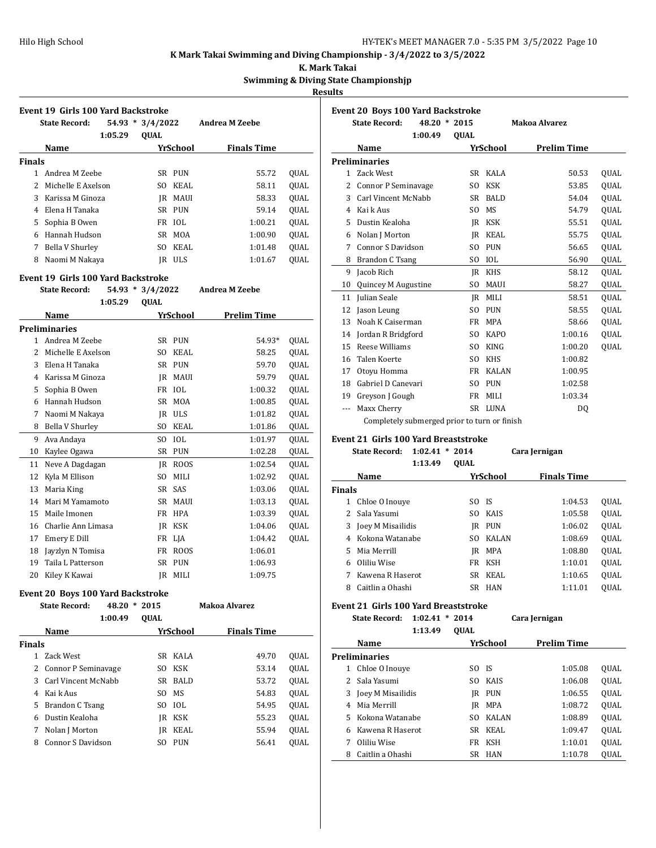#### **K. Mark Takai**

**Swimming & Diving State Championshjp**

**Results**

|               | <b>Event 19 Girls 100 Yard Backstroke</b> |         |                    |            |                    |             |  |  |  |  |  |
|---------------|-------------------------------------------|---------|--------------------|------------|--------------------|-------------|--|--|--|--|--|
|               | <b>State Record:</b>                      |         | $54.93 * 3/4/2022$ |            | Andrea M Zeebe     |             |  |  |  |  |  |
|               |                                           | 1:05.29 | <b>OUAL</b>        |            |                    |             |  |  |  |  |  |
|               | <b>Name</b>                               |         |                    | YrSchool   | <b>Finals Time</b> |             |  |  |  |  |  |
| <b>Finals</b> |                                           |         |                    |            |                    |             |  |  |  |  |  |
|               | Andrea M Zeebe                            |         | SR                 | <b>PUN</b> | 55.72              | <b>OUAL</b> |  |  |  |  |  |
| 2             | Michelle E Axelson                        |         | SO.                | KEAL       | 58.11              | <b>OUAL</b> |  |  |  |  |  |
| 3             | Karissa M Ginoza                          |         | IR                 | MAUI       | 58.33              | <b>OUAL</b> |  |  |  |  |  |
| 4             | Elena H Tanaka                            |         | SR                 | <b>PUN</b> | 59.14              | <b>OUAL</b> |  |  |  |  |  |
| 5.            | Sophia B Owen                             |         |                    | FR IOL     | 1:00.21            | OUAL        |  |  |  |  |  |
| 6             | Hannah Hudson                             |         | SR                 | MOA        | 1:00.90            | <b>OUAL</b> |  |  |  |  |  |
| 7             | Bella V Shurley                           |         | SΟ                 | KEAL       | 1:01.48            | <b>OUAL</b> |  |  |  |  |  |
| 8             | Naomi M Nakaya                            |         | IR                 | <b>ULS</b> | 1:01.67            | <b>OUAL</b> |  |  |  |  |  |

#### **Event 19 Girls 100 Yard Backstroke**

| <b>State Record:</b><br>$54.93*$<br>3/4/2022 |                      | <b>Andrea M Zeebe</b> |             |             |             |
|----------------------------------------------|----------------------|-----------------------|-------------|-------------|-------------|
|                                              | 1:05.29              | <b>QUAL</b>           |             |             |             |
|                                              | Name                 |                       | YrSchool    | Prelim Time |             |
|                                              | <b>Preliminaries</b> |                       |             |             |             |
| $\mathbf{1}$                                 | Andrea M Zeebe       | SR                    | <b>PUN</b>  | 54.93*      | <b>OUAL</b> |
| 2                                            | Michelle E Axelson   | S <sub>O</sub>        | <b>KEAL</b> | 58.25       | QUAL        |
| 3                                            | Elena H Tanaka       | SR                    | <b>PUN</b>  | 59.70       | <b>OUAL</b> |
| 4                                            | Karissa M Ginoza     | JR.                   | <b>MAUI</b> | 59.79       | <b>OUAL</b> |
| 5                                            | Sophia B Owen        | FR                    | IOL         | 1:00.32     | <b>OUAL</b> |
| 6                                            | Hannah Hudson        | SR                    | <b>MOA</b>  | 1:00.85     | QUAL        |
| 7                                            | Naomi M Nakaya       | <b>JR</b>             | <b>ULS</b>  | 1:01.82     | <b>OUAL</b> |
| 8                                            | Bella V Shurley      | SO.                   | KEAL        | 1:01.86     | QUAL        |
| 9                                            | Ava Andaya           | SO.                   | IOL         | 1:01.97     | OUAL        |
| 10                                           | Kaylee Ogawa         | <b>SR</b>             | <b>PUN</b>  | 1:02.28     | QUAL        |
| 11                                           | Neve A Dagdagan      | JR.                   | <b>ROOS</b> | 1:02.54     | <b>OUAL</b> |
| 12                                           | Kyla M Ellison       | SO.                   | MILI        | 1:02.92     | <b>OUAL</b> |
| 13                                           | Maria King           | <b>SR</b>             | <b>SAS</b>  | 1:03.06     | QUAL        |
| 14                                           | Mari M Yamamoto      | <b>SR</b>             | <b>MAUI</b> | 1:03.13     | <b>OUAL</b> |
| 15                                           | Maile Imonen         | FR                    | <b>HPA</b>  | 1:03.39     | QUAL        |
| 16                                           | Charlie Ann Limasa   | JR                    | <b>KSK</b>  | 1:04.06     | QUAL        |
| 17                                           | Emery E Dill         | FR                    | LJA         | 1:04.42     | <b>OUAL</b> |
| 18                                           | Jayzlyn N Tomisa     | FR                    | ROOS        | 1:06.01     |             |
| 19                                           | Taila L Patterson    | SR                    | <b>PUN</b>  | 1:06.93     |             |
| 20                                           | Kiley K Kawai        | IR                    | MILI        | 1:09.75     |             |

#### **Event 20 Boys 100 Yard Backstroke**

|               | <b>State Record:</b>  | 48.20<br>* | 2015        |            | Makoa Alvarez      |             |
|---------------|-----------------------|------------|-------------|------------|--------------------|-------------|
|               |                       | 1:00.49    | <b>OUAL</b> |            |                    |             |
|               | <b>Name</b>           |            |             | YrSchool   | <b>Finals Time</b> |             |
| <b>Finals</b> |                       |            |             |            |                    |             |
|               | Zack West             |            | SR.         | KALA       | 49.70              | OUAL        |
|               | 2 Connor P Seminavage |            | SO.         | KSK        | 53.14              | <b>OUAL</b> |
| 3             | Carl Vincent McNabb   |            |             | SR BALD    | 53.72              | <b>OUAL</b> |
| 4             | Kai k Aus             |            | SO.         | MS         | 54.83              | QUAL        |
| 5             | Brandon C Tsang       |            | SO.         | IOL        | 54.95              | <b>OUAL</b> |
| 6             | Dustin Kealoha        |            | IR          | KSK        | 55.23              | <b>OUAL</b> |
| 7             | Nolan J Morton        |            | IR          | KEAL       | 55.94              | <b>OUAL</b> |
| 8             | Connor S Davidson     |            | SO.         | <b>PUN</b> | 56.41              | <b>OUAL</b> |
|               |                       |            |             |            |                    |             |

|       | <b>State Record:</b>     | 48.20 * 2015   |              | Makoa Alvarez      |             |
|-------|--------------------------|----------------|--------------|--------------------|-------------|
|       | 1:00.49                  | <b>OUAL</b>    |              |                    |             |
|       | Name                     |                | YrSchool     | <b>Prelim Time</b> |             |
|       | <b>Preliminaries</b>     |                |              |                    |             |
| 1.    | Zack West                | SR.            | KALA         | 50.53              | <b>OUAL</b> |
| 2     | Connor P Seminavage      | SO.            | <b>KSK</b>   | 53.85              | QUAL        |
| 3     | Carl Vincent McNabb      | SR.            | <b>BALD</b>  | 54.04              | <b>OUAL</b> |
| 4     | Kai k Aus                | S <sub>O</sub> | <b>MS</b>    | 54.79              | <b>OUAL</b> |
| 5     | Dustin Kealoha           | <b>IR</b>      | <b>KSK</b>   | 55.51              | QUAL        |
| 6     | Nolan J Morton           | IR             | <b>KEAL</b>  | 55.75              | <b>OUAL</b> |
| 7     | <b>Connor S Davidson</b> | S <sub>O</sub> | <b>PUN</b>   | 56.65              | QUAL        |
| 8     | Brandon C Tsang          | S <sub>O</sub> | <b>IOL</b>   | 56.90              | QUAL        |
| 9     | Jacob Rich               | IR             | <b>KHS</b>   | 58.12              | <b>OUAL</b> |
| 10    | Quincey M Augustine      | S <sub>O</sub> | <b>MAUI</b>  | 58.27              | QUAL        |
| 11    | Julian Seale             | IR             | MILI         | 58.51              | <b>OUAL</b> |
| 12    | Jason Leung              | S <sub>O</sub> | <b>PUN</b>   | 58.55              | <b>OUAL</b> |
| 13    | Noah K Caiserman         | FR             | MPA          | 58.66              | QUAL        |
| 14    | Jordan R Bridgford       | SO.            | <b>KAPO</b>  | 1:00.16            | QUAL        |
| 15    | Reese Williams           | SO.            | <b>KING</b>  | 1:00.20            | <b>OUAL</b> |
| 16    | Talen Koerte             | S <sub>O</sub> | <b>KHS</b>   | 1:00.82            |             |
| 17    | Otoyu Homma              | FR             | <b>KALAN</b> | 1:00.95            |             |
| 18    | Gabriel D Canevari       | S <sub>O</sub> | <b>PUN</b>   | 1:02.58            |             |
| 19    | Greyson J Gough          | <b>FR</b>      | MILI         | 1:03.34            |             |
| $---$ | Maxx Cherry              | SR.            | LUNA         | DQ                 |             |

#### **Event 21 Girls 100 Yard Breaststroke**

|               | <b>State Record:</b> | 1:02.41 | $*2014$     |              | Cara Jernigan      |             |
|---------------|----------------------|---------|-------------|--------------|--------------------|-------------|
|               |                      | 1:13.49 | <b>OUAL</b> |              |                    |             |
|               | Name                 |         |             | YrSchool     | <b>Finals Time</b> |             |
| <b>Finals</b> |                      |         |             |              |                    |             |
|               | Chloe O Inouve       |         | SO.         | -IS          | 1:04.53            | <b>OUAL</b> |
| $\mathcal{P}$ | Sala Yasumi          |         | SO.         | <b>KAIS</b>  | 1:05.58            | <b>OUAL</b> |
| 3             | Joey M Misailidis    |         | IR          | PUN          | 1:06.02            | <b>OUAL</b> |
| 4             | Kokona Watanabe      |         | SO.         | <b>KALAN</b> | 1:08.69            | <b>OUAL</b> |
| 5.            | Mia Merrill          |         | IR          | MPA          | 1:08.80            | <b>OUAL</b> |
| 6             | Oliliu Wise          |         | FR          | KSH          | 1:10.01            | <b>OUAL</b> |
|               | Kawena R Haserot     |         | SR.         | KEAL         | 1:10.65            | <b>OUAL</b> |
| Զ             | Caitlin a Ohashi     |         | SR.         | <b>HAN</b>   | 1:11.01            | <b>OUAL</b> |

## **Event 21 Girls 100 Yard Breaststroke**

|    | <b>State Record:</b> | 1:02.41<br>1:13.49 | $*2014$<br><b>OUAL</b> |              | Cara Jernigan      |             |
|----|----------------------|--------------------|------------------------|--------------|--------------------|-------------|
|    | Name                 |                    |                        | YrSchool     | <b>Prelim Time</b> |             |
|    | <b>Preliminaries</b> |                    |                        |              |                    |             |
| 1  | Chloe O Inouve       |                    | SO.                    | - IS         | 1:05.08            | <b>OUAL</b> |
| 2  | Sala Yasumi          |                    | SO.                    | <b>KAIS</b>  | 1:06.08            | <b>OUAL</b> |
| 3  | Joey M Misailidis    |                    | IR                     | <b>PUN</b>   | 1:06.55            | <b>OUAL</b> |
| 4  | Mia Merrill          |                    | IR                     | MPA          | 1:08.72            | <b>OUAL</b> |
| 5. | Kokona Watanabe      |                    | SΟ                     | <b>KALAN</b> | 1:08.89            | <b>OUAL</b> |
| 6  | Kawena R Haserot     |                    | SR.                    | KEAL         | 1:09.47            | <b>OUAL</b> |
| 7  | Oliliu Wise          |                    | FR.                    | KSH          | 1:10.01            | <b>OUAL</b> |
| 8  | Caitlin a Ohashi     |                    | SR.                    | <b>HAN</b>   | 1:10.78            | QUAL        |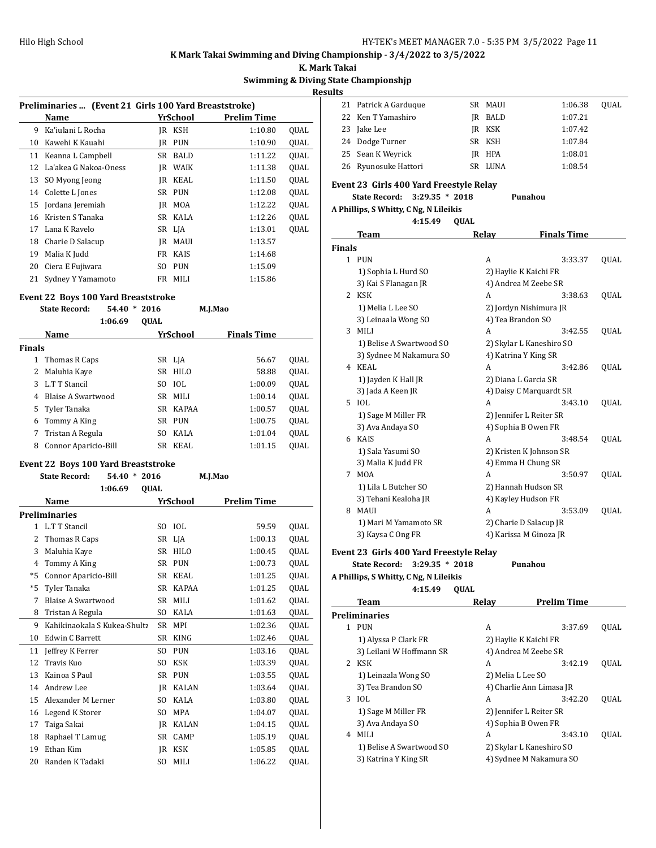**K. Mark Takai**

#### **Swimming & Diving State Championshjp**

**Results**

|    | Preliminaries  (Event 21 Girls 100 Yard Breaststroke) |     |             |             |             |  |
|----|-------------------------------------------------------|-----|-------------|-------------|-------------|--|
|    | Name                                                  |     | YrSchool    | Prelim Time |             |  |
| 9  | Ka'iulani L Rocha                                     | IR  | KSH         | 1:10.80     | <b>OUAL</b> |  |
| 10 | Kawehi K Kauahi                                       | IR  | <b>PUN</b>  | 1:10.90     | QUAL        |  |
| 11 | Keanna L Campbell                                     | SR  | <b>BALD</b> | 1:11.22     | <b>OUAL</b> |  |
| 12 | La'akea G Nakoa-Oness                                 | IR  | WAIK        | 1:11.38     | <b>OUAL</b> |  |
| 13 | SO Myong Jeong                                        | IR  | KEAL        | 1:11.50     | <b>OUAL</b> |  |
| 14 | Colette L Jones                                       | SR  | PUN         | 1:12.08     | <b>OUAL</b> |  |
| 15 | Jordana Jeremiah                                      | IR  | MOA         | 1:12.22     | OUAL        |  |
| 16 | Kristen S Tanaka                                      |     | SR KALA     | 1:12.26     | OUAL        |  |
| 17 | Lana K Ravelo                                         |     | SR LJA      | 1:13.01     | <b>OUAL</b> |  |
| 18 | Charie D Salacup                                      | IR  | MAUI        | 1:13.57     |             |  |
| 19 | Malia K Judd                                          | FR  | <b>KAIS</b> | 1:14.68     |             |  |
| 20 | Ciera E Fujiwara                                      | SO. | <b>PUN</b>  | 1:15.09     |             |  |
| 21 | Sydney Y Yamamoto                                     | FR  | <b>MILI</b> | 1:15.86     |             |  |

## **Event 22 Boys 100 Yard Breaststroke**

|               | EVEIIL 22 DOYS TOO TAI'U DI CASISLI'OKE |             |             |                    |             |  |  |  |
|---------------|-----------------------------------------|-------------|-------------|--------------------|-------------|--|--|--|
|               | <b>State Record:</b><br>54.40           | $*2016$     |             | M.J.Mao            |             |  |  |  |
|               | 1:06.69                                 | <b>OUAL</b> |             |                    |             |  |  |  |
|               | Name                                    |             | YrSchool    | <b>Finals Time</b> |             |  |  |  |
| <b>Finals</b> |                                         |             |             |                    |             |  |  |  |
| 1             | Thomas R Caps                           |             | SR LJA      | 56.67              | <b>OUAL</b> |  |  |  |
| 2             | Maluhia Kaye                            | SR          | HILO        | 58.88              | <b>OUAL</b> |  |  |  |
| 3             | L.T T Stancil                           | SO.         | <b>IOL</b>  | 1:00.09            | <b>OUAL</b> |  |  |  |
| 4             | Blaise A Swartwood                      | SR -        | <b>MILI</b> | 1:00.14            | <b>OUAL</b> |  |  |  |
|               | 5 Tyler Tanaka                          |             | SR KAPAA    | 1:00.57            | <b>OUAL</b> |  |  |  |
| 6             | Tommy A King                            | SR          | <b>PUN</b>  | 1:00.75            | <b>OUAL</b> |  |  |  |
| 7             | Tristan A Regula                        | SO.         | KALA        | 1:01.04            | <b>OUAL</b> |  |  |  |
| 8             | Connor Aparicio-Bill                    | SR          | KEAL        | 1:01.15            | OUAL        |  |  |  |

## **Event 22 Boys 100 Yard Breaststroke**

|              | <b>State Record:</b><br>$54.40*$<br>2016 |           |                 | M.J.Mao     |             |
|--------------|------------------------------------------|-----------|-----------------|-------------|-------------|
|              | <b>QUAL</b><br>1:06.69                   |           |                 |             |             |
|              | Name                                     |           | <u>YrSchool</u> | Prelim Time |             |
|              | <b>Preliminaries</b>                     |           |                 |             |             |
| $\mathbf{1}$ | L.T T Stancil                            | SO        | IOL             | 59.59       | <b>OUAL</b> |
| 2            | Thomas R Caps                            | SR        | LJA             | 1:00.13     | QUAL        |
| 3            | Maluhia Kaye                             | SR.       | <b>HILO</b>     | 1:00.45     | QUAL        |
| 4            | Tommy A King                             | <b>SR</b> | <b>PUN</b>      | 1:00.73     | <b>OUAL</b> |
| $*5$         | Connor Aparicio-Bill                     | <b>SR</b> | <b>KEAL</b>     | 1:01.25     | <b>OUAL</b> |
| $*5$         | Tyler Tanaka                             | <b>SR</b> | KAPAA           | 1:01.25     | QUAL        |
| 7            | Blaise A Swartwood                       | <b>SR</b> | MILI            | 1:01.62     | <b>OUAL</b> |
| 8            | Tristan A Regula                         | SO.       | KALA            | 1:01.63     | QUAL        |
| 9            | Kahikinaokala S Kukea-Shultz             | <b>SR</b> | <b>MPI</b>      | 1:02.36     | OUAL        |
| 10           | <b>Edwin C Barrett</b>                   | <b>SR</b> | <b>KING</b>     | 1:02.46     | QUAL        |
| 11           | Jeffrey K Ferrer                         | SO.       | <b>PUN</b>      | 1:03.16     | <b>OUAL</b> |
| 12           | Travis Kuo                               | SO.       | <b>KSK</b>      | 1:03.39     | <b>OUAL</b> |
| 13           | Kainoa S Paul                            | <b>SR</b> | <b>PUN</b>      | 1:03.55     | QUAL        |
| 14           | Andrew Lee                               | JR.       | <b>KALAN</b>    | 1:03.64     | <b>OUAL</b> |
| 15           | Alexander M Lerner                       | SO.       | KALA            | 1:03.80     | QUAL        |
| 16           | Legend K Storer                          | SO.       | <b>MPA</b>      | 1:04.07     | QUAL        |
| 17           | Taiga Sakai                              | <b>JR</b> | <b>KALAN</b>    | 1:04.15     | <b>OUAL</b> |
| 18           | Raphael T Lamug                          | <b>SR</b> | CAMP            | 1:05.19     | QUAL        |
| 19           | Ethan Kim                                | JR.       | <b>KSK</b>      | 1:05.85     | QUAL        |
| 20           | Randen K Tadaki                          | SO.       | MILI            | 1:06.22     | QUAL        |

|  | 21 Patrick A Garduque | SR MAUI | 1:06.38 | OUAL |
|--|-----------------------|---------|---------|------|
|  | 22 Ken T Yamashiro    | IR BALD | 1:07.21 |      |
|  | 23 Jake Lee           | IR KSK  | 1:07.42 |      |
|  | 24 Dodge Turner       | SR KSH  | 1:07.84 |      |
|  | 25 Sean K Weyrick     | JR HPA  | 1:08.01 |      |
|  | 26 Ryunosuke Hattori  | SR LUNA | 1:08.54 |      |
|  |                       |         |         |      |

## **Event 23 Girls 400 Yard Freestyle Relay**

# **State Record: 3:29.35 \* 2018 Punahou**

# **A Phillips, S Whitty, C Ng, N Lileikis**

|               | 4:15.49                  | <b>OUAL</b> |                          |             |
|---------------|--------------------------|-------------|--------------------------|-------------|
|               | Team                     | Relay       | <b>Finals Time</b>       |             |
| <b>Finals</b> |                          |             |                          |             |
|               | 1 PUN                    | A           | 3:33.37                  | QUAL        |
|               | 1) Sophia L Hurd SO      |             | 2) Haylie K Kaichi FR    |             |
|               | 3) Kai S Flanagan JR     |             | 4) Andrea M Zeebe SR     |             |
| 2             | <b>KSK</b>               | A           | 3:38.63                  | QUAL        |
|               | 1) Melia L Lee SO        |             | 2) Jordyn Nishimura JR   |             |
|               | 3) Leinaala Wong SO      |             | 4) Tea Brandon SO        |             |
| 3             | MILI                     | A           | 3:42.55                  | <b>OUAL</b> |
|               | 1) Belise A Swartwood SO |             | 2) Skylar L Kaneshiro SO |             |
|               | 3) Sydnee M Nakamura SO  |             | 4) Katrina Y King SR     |             |
| 4             | KEAL                     | A           | 3:42.86                  | <b>OUAL</b> |
|               | 1) Jayden K Hall JR      |             | 2) Diana L Garcia SR     |             |
|               | 3) Jada A Keen JR        |             | 4) Daisy C Marquardt SR  |             |
| 5.            | IOL                      | A           | 3:43.10                  | QUAL        |
|               | 1) Sage M Miller FR      |             | 2) Jennifer L Reiter SR  |             |
|               | 3) Ava Andaya SO         |             | 4) Sophia B Owen FR      |             |
| 6             | KAIS                     | A           | 3:48.54                  | <b>OUAL</b> |
|               | 1) Sala Yasumi SO        |             | 2) Kristen K Johnson SR  |             |
|               | 3) Malia K Judd FR       |             | 4) Emma H Chung SR       |             |
| 7             | <b>MOA</b>               | A           | 3:50.97                  | <b>OUAL</b> |
|               | 1) Lila L Butcher SO     |             | 2) Hannah Hudson SR      |             |
|               | 3) Tehani Kealoha JR     |             | 4) Kayley Hudson FR      |             |
| 8             | <b>MAUI</b>              | A           | 3:53.09                  | <b>OUAL</b> |
|               | 1) Mari M Yamamoto SR    |             | 2) Charie D Salacup JR   |             |
|               | 3) Kaysa C Ong FR        |             | 4) Karissa M Ginoza JR   |             |

#### **Event 23 Girls 400 Yard Freestyle Relay**

**State Record: 3:29.35 \* 2018 Punahou**

**A Phillips, S Whitty, C Ng, N Lileikis**

**4:15.49 QUAL**

|               | Team                     | Relav | <b>Prelim Time</b>       |             |
|---------------|--------------------------|-------|--------------------------|-------------|
|               | <b>Preliminaries</b>     |       |                          |             |
| 1             | <b>PUN</b>               | A     | 3:37.69                  | <b>OUAL</b> |
|               | 1) Alyssa P Clark FR     |       | 2) Haylie K Kaichi FR    |             |
|               | 3) Leilani W Hoffmann SR |       | 4) Andrea M Zeebe SR     |             |
| $\mathcal{L}$ | <b>KSK</b>               | A     | 3:42.19                  | <b>OUAL</b> |
|               | 1) Leinaala Wong SO      |       | 2) Melia L Lee SO        |             |
|               | 3) Tea Brandon SO        |       | 4) Charlie Ann Limasa JR |             |
| 3             | <b>IOL</b>               | A     | 3:42.20                  | <b>OUAL</b> |
|               | 1) Sage M Miller FR      |       | 2) Jennifer L Reiter SR  |             |
|               | 3) Ava Andaya SO         |       | 4) Sophia B Owen FR      |             |
| 4             | MILI                     | A     | 3:43.10                  | <b>OUAL</b> |
|               | 1) Belise A Swartwood SO |       | 2) Skylar L Kaneshiro SO |             |
|               | 3) Katrina Y King SR     |       | 4) Sydnee M Nakamura SO  |             |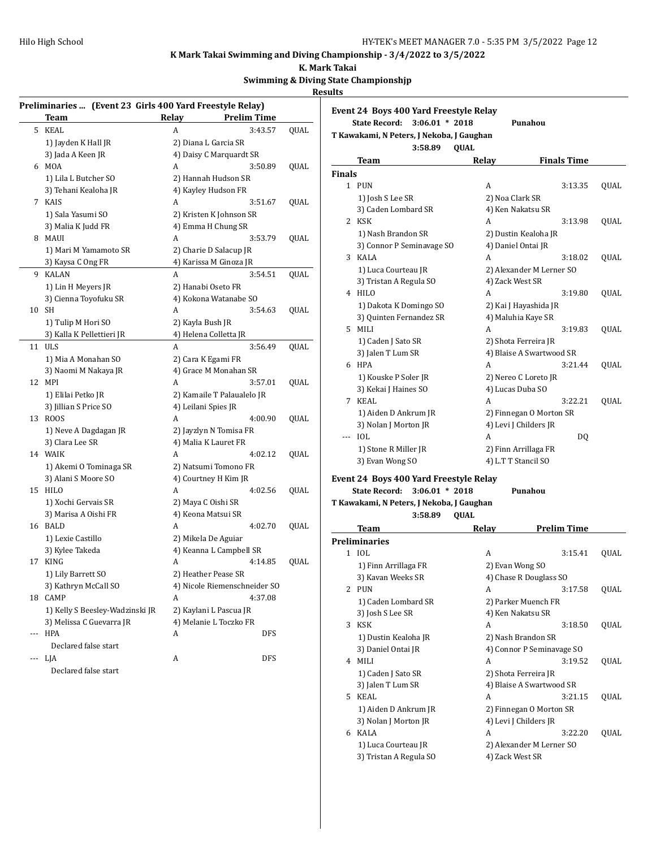**Event 24 Boys 400 Yard Freestyle Relay**

**State Record: 3:06.01 \* 2018 Punahou**

## **K Mark Takai Swimming and Diving Championship - 3/4/2022 to 3/5/2022**

**K. Mark Takai**

## **Swimming & Diving State Championshjp**

#### **Results**

|     | Preliminaries  (Event 23 Girls 400 Yard Freestyle Relay) |       |                              |      |
|-----|----------------------------------------------------------|-------|------------------------------|------|
|     | Team                                                     | Relay | <b>Prelim Time</b>           |      |
| 5   | KEAL                                                     | A     | 3:43.57                      | QUAL |
|     | 1) Jayden K Hall JR                                      |       | 2) Diana L Garcia SR         |      |
|     | 3) Jada A Keen JR                                        |       | 4) Daisy C Marquardt SR      |      |
|     | 6 MOA                                                    | A     | 3:50.89                      | QUAL |
|     | 1) Lila L Butcher SO                                     |       | 2) Hannah Hudson SR          |      |
|     | 3) Tehani Kealoha JR                                     |       | 4) Kayley Hudson FR          |      |
| 7   | KAIS                                                     | A     | 3:51.67                      | QUAL |
|     | 1) Sala Yasumi SO                                        |       | 2) Kristen K Johnson SR      |      |
|     | 3) Malia K Judd FR                                       |       | 4) Emma H Chung SR           |      |
| 8   | MAUI                                                     | A     | 3:53.79                      | QUAL |
|     | 1) Mari M Yamamoto SR                                    |       | 2) Charie D Salacup JR       |      |
|     | 3) Kaysa C Ong FR                                        |       | 4) Karissa M Ginoza JR       |      |
| 9   | <b>KALAN</b>                                             | A     | 3:54.51                      | QUAL |
|     | 1) Lin H Meyers JR                                       |       | 2) Hanabi Oseto FR           |      |
|     | 3) Cienna Toyofuku SR                                    |       | 4) Kokona Watanabe SO        |      |
| 10  | SH                                                       | A     | 3:54.63                      | QUAL |
|     | 1) Tulip M Hori SO                                       |       | 2) Kayla Bush JR             |      |
|     | 3) Kalla K Pellettieri JR                                |       | 4) Helena Colletta JR        |      |
| 11  | <b>ULS</b>                                               | A     | 3:56.49                      | QUAL |
|     | 1) Mia A Monahan SO                                      |       | 2) Cara K Egami FR           |      |
|     | 3) Naomi M Nakaya JR                                     |       | 4) Grace M Monahan SR        |      |
| 12  | MPI                                                      | A     | 3:57.01                      | QUAL |
|     | 1) Elilai Petko JR                                       |       | 2) Kamaile T Palaualelo JR   |      |
|     | 3) Jillian S Price SO                                    |       | 4) Leilani Spies JR          |      |
| 13  | ROOS                                                     | A     | 4:00.90                      | QUAL |
|     | 1) Neve A Dagdagan JR                                    |       | 2) Jayzlyn N Tomisa FR       |      |
|     | 3) Clara Lee SR                                          |       | 4) Malia K Lauret FR         |      |
|     | 14 WAIK                                                  | A     | 4:02.12                      | QUAL |
|     | 1) Akemi O Tominaga SR                                   |       | 2) Natsumi Tomono FR         |      |
|     | 3) Alani S Moore SO                                      |       | 4) Courtney H Kim JR         |      |
| 15  | HILO                                                     | A     | 4:02.56                      | QUAL |
|     | 1) Xochi Gervais SR                                      |       | 2) Maya C Oishi SR           |      |
|     | 3) Marisa A Oishi FR                                     |       | 4) Keona Matsui SR           |      |
|     | 16 BALD                                                  | A     | 4:02.70                      | QUAL |
|     | 1) Lexie Castillo                                        |       | 2) Mikela De Aguiar          |      |
|     | 3) Kylee Takeda                                          |       | 4) Keanna L Campbell SR      |      |
| 17  | KING                                                     | A     | 4:14.85                      | QUAL |
|     | 1) Lily Barrett SO                                       |       | 2) Heather Pease SR          |      |
|     | 3) Kathryn McCall SO                                     |       | 4) Nicole Riemenschneider SO |      |
|     | 18 CAMP                                                  | A     | 4:37.08                      |      |
|     | 1) Kelly S Beesley-Wadzinski JR                          |       | 2) Kaylani L Pascua JR       |      |
|     | 3) Melissa C Guevarra JR                                 |       | 4) Melanie L Toczko FR       |      |
|     | <b>HPA</b>                                               | A     | DFS                          |      |
|     | Declared false start                                     |       |                              |      |
| --- | LJA                                                      | А     | <b>DFS</b>                   |      |
|     | Declared false start                                     |       |                              |      |

|               | T Kawakami, N Peters, J Nekoba, J Gaughan<br>3:58.89 | <b>QUAL</b>        |                                             |      |
|---------------|------------------------------------------------------|--------------------|---------------------------------------------|------|
|               | Team                                                 | <b>Relay</b>       | <b>Finals Time</b>                          |      |
| <b>Finals</b> |                                                      |                    |                                             |      |
|               | 1 PUN                                                | A                  | 3:13.35                                     | QUAL |
|               | 1) Josh S Lee SR                                     | 2) Noa Clark SR    |                                             |      |
|               | 3) Caden Lombard SR                                  |                    | 4) Ken Nakatsu SR                           |      |
|               | 2 KSK                                                | A                  | 3:13.98                                     | QUAL |
|               | 1) Nash Brandon SR                                   |                    | 2) Dustin Kealoha JR                        |      |
|               | 3) Connor P Seminavage SO                            | 4) Daniel Ontai JR |                                             |      |
| 3             | KALA                                                 | A                  | 3:18.02                                     | QUAL |
|               | 1) Luca Courteau JR                                  |                    | 2) Alexander M Lerner SO                    |      |
|               | 3) Tristan A Regula SO                               | 4) Zack West SR    |                                             |      |
|               | 4 HILO                                               | A                  | 3:19.80                                     | QUAL |
|               |                                                      |                    |                                             |      |
|               | 1) Dakota K Domingo SO                               |                    | 2) Kai J Hayashida JR<br>4) Maluhia Kaye SR |      |
|               | 3) Quinten Fernandez SR<br>5 MILI                    | A                  |                                             |      |
|               |                                                      |                    | 3:19.83                                     | QUAL |
|               | 1) Caden J Sato SR                                   |                    | 2) Shota Ferreira JR                        |      |
|               | 3) Jalen T Lum SR                                    |                    | 4) Blaise A Swartwood SR                    |      |
|               | 6 HPA                                                | A                  | 3:21.44                                     | QUAL |
|               | 1) Kouske P Soler JR                                 |                    | 2) Nereo C Loreto JR                        |      |
|               | 3) Kekai J Haines SO                                 | 4) Lucas Duba SO   |                                             |      |
| 7             | KEAL                                                 | A                  | 3:22.21                                     | QUAL |
|               | 1) Aiden D Ankrum JR                                 |                    | 2) Finnegan O Morton SR                     |      |
|               | 3) Nolan J Morton JR                                 |                    | 4) Levi J Childers JR                       |      |
| ---           | IOL                                                  | A                  | DQ                                          |      |
|               | 1) Stone R Miller JR                                 |                    | 2) Finn Arrillaga FR                        |      |
|               | 3) Evan Wong SO                                      |                    | 4) L.T T Stancil SO                         |      |
|               | Event 24 Boys 400 Yard Freestyle Relay               |                    |                                             |      |
|               | <b>State Record:</b><br>$3:06.01 * 2018$             |                    | Punahou                                     |      |
|               | T Kawakami, N Peters, J Nekoba, J Gaughan            |                    |                                             |      |
|               | 3:58.89                                              | <b>QUAL</b>        |                                             |      |
|               | Team                                                 | Relay              | Prelim Time                                 |      |
|               | <b>Preliminaries</b>                                 |                    |                                             |      |
|               | 1 IOL                                                | A                  | 3:15.41                                     | QUAL |
|               | 1) Finn Arrillaga FR                                 | 2) Evan Wong SO    |                                             |      |
|               | 3) Kavan Weeks SR                                    |                    | 4) Chase R Douglass SO                      |      |
|               | 2 PUN                                                | A                  | 3:17.58                                     | QUAL |
|               | 1) Caden Lombard SR                                  |                    | 2) Parker Muench FR                         |      |
|               | 3) Josh S Lee SR                                     |                    | 4) Ken Nakatsu SR                           |      |
|               | 3 KSK                                                | A                  |                                             |      |
|               |                                                      |                    | 3:18.50                                     | QUAL |
|               | 1) Dustin Kealoha JR                                 |                    | 2) Nash Brandon SR                          |      |
|               | 3) Daniel Ontai JR<br>4 MILI                         |                    | 4) Connor P Seminavage SO                   |      |
|               |                                                      | A                  | 3:19.52                                     | QUAL |
|               | 1) Caden J Sato SR                                   |                    | 2) Shota Ferreira JR                        |      |
|               | 3) Jalen T Lum SR                                    |                    | 4) Blaise A Swartwood SR                    |      |
|               | 5 KEAL                                               | A                  | 3:21.15                                     | QUAL |
|               | 1) Aiden D Ankrum JR                                 |                    | 2) Finnegan O Morton SR                     |      |
|               | 3) Nolan J Morton JR                                 |                    | 4) Levi J Childers JR                       |      |
|               | 6 KALA                                               | A                  | 3:22.20                                     | QUAL |
|               | 1) Luca Courteau JR                                  |                    | 2) Alexander M Lerner SO                    |      |

- 
- 3) Tristan A Regula SO 4) Zack West SR